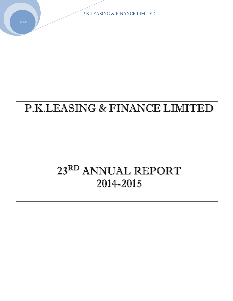# P.K.LEASING & FINANCE LIMITED

# 23RD ANNUAL REPORT 2014-2015

**PKLF**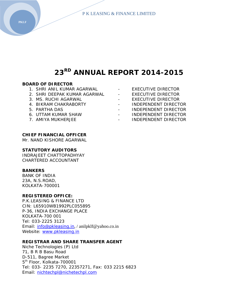## **23RD ANNUAL REPORT 2014-2015**

#### **BOARD OF DIRECTOR**

- 1. SHRI ANIL KUMAR AGARWAL EXECUTIVE DIRECTOR
- 2. SHRI DEEPAK KUMAR AGARWAL EXECUTIVE DIRECTOR
- 3. MS. RUCHI AGARWAL THE EXECUTIVE DIRECTOR
- 
- 
- 
- 
- 
- 
- 
- 4. BIKRAM CHAKRABORTY **Face CHANNEY CHANNES** INDEPENDENT DIRECTOR
- 5. PARTHA DAS INDEPENDENT DIRECTOR
- 6. UTTAM KUMAR SHAW INDEPENDENT DIRECTOR
- 7. AMIYA MUKHERJEE **ANG ATALIE 1** INDEPENDENT DIRECTOR

#### **CHIEF FINANCIAL OFFICER**

Mr. NAND KISHORE AGARWAL

#### **STATUTORY AUDITORS**

INDRAJEET CHATTOPADHYAY CHARTERED ACCOUNTANT

#### **BANKERS**

BANK OF INDIA 23A, N.S.ROAD, KOLKATA-700001

#### **REGISTERED OFFICE:**

P.K.LEASING & FINANCE LTD CIN: L65910WB1992PLC055895 P-36, INDIA EXCHANGE PLACE KOLKATA-700 001 Tel: 033-2225 3123 Email: info@pkleasing.in, / anilpklf@yahoo.co.in Website: www.pkleasing.in

#### **REGISTRAR AND SHARE TRANSFER AGENT**

Niche Technologies (P) Ltd 71, B R B Basu Road D-511, Bagree Market 5<sup>th</sup> Floor, Kolkata-700001 Tel: 033- 2235 7270, 22357271, Fax: 033 2215 6823 Email: nichtechpl@nichetechpl.com

**PKLF**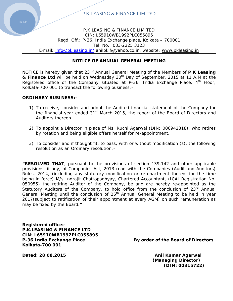

P.K LEASING & FINANCE LIMITED CIN: L65910WB1992PLC055895 Regd. Off.: P-36, India Exchange place, Kolkata – 700001 Tel. No.: 033‐2225 3123 E‐mail: info@pkleasing.in/ anilpklf@yahoo.co.in, website: www.pkleasing.in

#### **NOTICE OF ANNUAL GENERAL MEETING**

NOTICE is hereby given that 23<sup>RD</sup> Annual General Meeting of the Members of **P K Leasing & Finance Ltd** will be held on Wednesday 30<sup>th</sup> Day of September, 2015 at 11 A.M at the Registered office of the Company situated at P-36, India Exchange Place,  $4<sup>th</sup>$  Floor, Kolkata-700 001 to transact the following business:-

#### **ORDINARY BUSINESS:-**

- 1) To receive, consider and adopt the Audited financial statement of the Company for the financial year ended  $31<sup>st</sup>$  March 2015, the report of the Board of Directors and Auditors thereon.
- 2) To appoint a Director in place of Ms. Ruchi Agarwal (DIN: 006942318), who retires by rotation and being eligible offers herself for re-appointment.
- 3) To consider and if thought fit, to pass, with or without modification (s), the following resolution as an Ordinary resolution:-

**"RESOLVED THAT**, pursuant to the provisions of section 139,142 and other applicable provisions, if any, of Companies Act, 2013 read with the Companies (Audit and Auditors) Rules, 2014, (including any statutory modification or re-enactment thereof for the time being in force) M/s Indrajit Chattopadhyay, Chartered Accountant, (ICAI Registration No. 050955) the retiring Auditor of the Company, be and are hereby re‐appointed as the Statutory Auditors of the Company, to hold office from the conclusion of  $23<sup>rd</sup>$  Annual General Meeting until the conclusion of  $25<sup>th</sup>$  Annual General Meeting to be held in year 2017(subject to ratification of their appointment at every AGM) on such remuneration as may be fixed by the Board.**"**

**Registered office:- P.K.LEASING & FINANCE LTD CIN: L65910WB1992PLC055895 Kolkata-700 001** 

**P-36 India Exchange Place Access Example 3 By order of the Board of Directors** 

**Dated: 28.08.2015 Anil Kumar Agarwal (Managing Director) (DIN: 00315722)**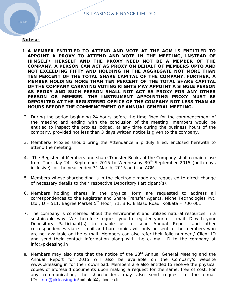#### **Notes:-**

- 1. **A MEMBER ENTITLED TO ATTEND AND VOTE AT THE AGM IS ENTITLED TO APPOINT A PROXY TO ATTEND AND VOTE IN THE MEETING, INSTEAD OF HIMSELF/ HERSELF AND THE PROXY NEED NOT BE A MEMBER OF THE COMPANY. A PERSON CAN ACT AS PROXY ON BEHALF OF MEMBERS UPTO AND NOT EXCEEDING FIFTY AND HOLDING IN THE AGGREGATE NOT MORE THAN TEN PERCENT OF THE TOTAL SHARE CAPITAL OF THE COMPANY. FURTHER, A MEMBER HOLDING MORE THAN TEN PERCENT OF THE TOTAL SHARE CAPITAL OF THE COMPANY CARRYING VOTING RIGHTS MAY APPOINT A SINGLE PERSON AS PROXY AND SUCH PERSON SHALL NOT ACT AS PROXY FOR ANY OTHER PERSON OR MEMBER. THE INSTRUMENT APPOINTING PROXY MUST BE DEPOSITED AT THE REGISTERED OFFICE OF THE COMPANY NOT LESS THAN 48 HOURS BEFORE THE COMMENCEMENT OF ANNUAL GENERAL MEETING.**
- 2. During the period beginning 24 hours before the time fixed for the commencement of the meeting and ending with the conclusion of the meeting, members would be entitled to inspect the proxies lodged, at any time during the business hours of the company, provided not less than 3 days written notice is given to the company.
- 3. Members/ Proxies should bring the Attendance Slip duly filled, enclosed herewith to attend the meeting.
- 4. The Register of Members and share Transfer Books of the Company shall remain close from Thursday 24<sup>th</sup> September 2015 to Wednesday 30<sup>th</sup> September 2015 (both days inclusive) for the year ended 31 March, 2015 and the AGM.
- 5. Members whose shareholding is in the electronic mode are requested to direct change of necessary details to their respective Depository Participant(s).
- 6. Members holding shares in the physical form are requested to address all correspondences to the Registrar and Share Transfer Agents, Niche Technologies Pvt. Ltd.,  $D - 511$ , Bagree Market, $5<sup>th</sup>$  Floor, 71, B.R. B Basu Road, Kolkata – 700 001.
- 7. The company is concerned about the environment and utilizes natural resources in a sustainable way. We therefore request you to register your e – mail ID with your Depository Participant(s) to enable us to send Annual Report and other correspondences via e – mail and hard copies will only be sent to the members who are not available on the e‐ mail. Members can also refer their folio number / Client ID and send their contact information along with the e‐ mail ID to the company at info@pkleasing.in
- 8. Members may also note that the notice of the 23<sup>rd</sup> Annual General Meeting and the Annual Report for 2015 will also be available on the Company's website www.pkleasing.in for their download. Members are also entitled to receive the physical copies of aforesaid documents upon making a request for the same, free of cost. For any communication, the shareholders may also send request to the e-mail ID: info@pkleasing.in/anilpklf@yahoo.co.in.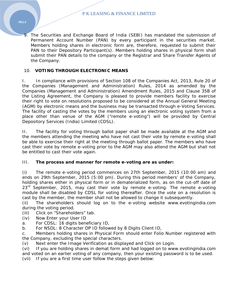9. The Securities and Exchange Board of India (SEBI) has mandated the submission of Permanent Account Number (PAN) by every participant in the securities market. Members holding shares in electronic form are, therefore, requested to submit their PAN to their Depository Participant(s). Members holding shares in physical form shall submit their PAN details to the company or the Registrar and Share Transfer Agents of the Company.

## 10. **VOTING THROUGH ELECTRONIC MEANS**

I. In compliance with provisions of Section 108 of the Companies Act, 2013, Rule 20 of the Companies (Management and Administration) Rules, 2014 as amended by the Companies (Management and Administration) Amendment Rules, 2015 and Clause 35B of the Listing Agreement, the Company is pleased to provide members facility to exercise their right to vote on resolutions proposed to be considered at the Annual General Meeting (AGM) by electronic means and the business may be transacted through e-Voting Services. The facility of casting the votes by the members using an electronic voting system from a place other than venue of the AGM ("remote e-voting") will be provided by Central Depository Services (India) Limited (CDSL).

II. The facility for voting through ballot paper shall be made available at the AGM and the members attending the meeting who have not cast their vote by remote e-voting shall be able to exercise their right at the meeting through ballot paper. The members who have cast their vote by remote e-voting prior to the AGM may also attend the AGM but shall not be entitled to cast their vote again.

## III. **The process and manner for remote e-voting are as under:**

(i) The remote e-voting period commences on 27th September, 2015 (10:00 am) and ends on 29th September, 2015 (5:00 pm). During this period members' of the Company, holding shares either in physical form or in dematerialized form, as on the cut-off date of  $23<sup>rd</sup>$  September, 2015, may cast their vote by remote e-voting. The remote e-voting module shall be disabled by CDSL for voting thereafter. Once the vote on a resolution is cast by the member, the member shall not be allowed to change it subsequently.

(ii) The shareholders should log on to the e-voting website www.evotingindia.com during the voting period.

- (iii) Click on "Shareholders" tab.
- (iv) Now Enter your User ID
- a. For CDSL: 16 digits beneficiary ID,
- b. For NSDL: 8 Character DP ID followed by 8 Digits Client ID,

c. Members holding shares in Physical Form should enter Folio Number registered with the Company, excluding the special characters.

(v) Next enter the Image Verification as displayed and Click on Login.

(vi) If you are holding shares in demat form and had logged on to www.evotingindia.com and voted on an earlier voting of any company, then your existing password is to be used.

(vii) If you are a first time user follow the steps given below: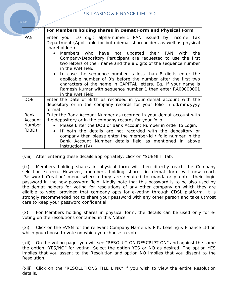|               | For Members holding shares in Demat Form and Physical Form                                                                                                                                                                                                                                                                                                                                                                                                                                                                   |  |  |  |  |  |  |  |  |
|---------------|------------------------------------------------------------------------------------------------------------------------------------------------------------------------------------------------------------------------------------------------------------------------------------------------------------------------------------------------------------------------------------------------------------------------------------------------------------------------------------------------------------------------------|--|--|--|--|--|--|--|--|
| <b>PAN</b>    | Enter your 10 digit alpha-numeric PAN issued by Income Tax<br>Department (Applicable for both demat shareholders as well as physical<br>shareholders)                                                                                                                                                                                                                                                                                                                                                                        |  |  |  |  |  |  |  |  |
|               | Members who have not updated their PAN with<br>the<br>$\bullet$<br>Company/Depository Participant are requested to use the first<br>two letters of their name and the 8 digits of the sequence number<br>in the PAN Field.<br>In case the sequence number is less than 8 digits enter the<br>$\bullet$<br>applicable number of O's before the number after the first two<br>characters of the name in CAPITAL letters. Eg. If your name is<br>Ramesh Kumar with sequence number 1 then enter RA00000001<br>in the PAN Field. |  |  |  |  |  |  |  |  |
|               |                                                                                                                                                                                                                                                                                                                                                                                                                                                                                                                              |  |  |  |  |  |  |  |  |
| <b>DOB</b>    | Enter the Date of Birth as recorded in your demat account with the<br>depository or in the company records for your folio in dd/mm/yyyy<br>format                                                                                                                                                                                                                                                                                                                                                                            |  |  |  |  |  |  |  |  |
| <b>Bank</b>   | Enter the Bank Account Number as recorded in your demat account with                                                                                                                                                                                                                                                                                                                                                                                                                                                         |  |  |  |  |  |  |  |  |
| Account       | the depository or in the company records for your folio.                                                                                                                                                                                                                                                                                                                                                                                                                                                                     |  |  |  |  |  |  |  |  |
| <b>Number</b> | Please Enter the DOB or Bank Account Number in order to Login.<br>$\bullet$                                                                                                                                                                                                                                                                                                                                                                                                                                                  |  |  |  |  |  |  |  |  |
| (DBD)         | If both the details are not recorded with the depository or<br>$\bullet$                                                                                                                                                                                                                                                                                                                                                                                                                                                     |  |  |  |  |  |  |  |  |
|               | company then please enter the member-id / folio number in the<br>Bank Account Number details field as mentioned in above                                                                                                                                                                                                                                                                                                                                                                                                     |  |  |  |  |  |  |  |  |
|               | instruction (IV).                                                                                                                                                                                                                                                                                                                                                                                                                                                                                                            |  |  |  |  |  |  |  |  |

(viii) After entering these details appropriately, click on "SUBMIT" tab.

(ix) Members holding shares in physical form will then directly reach the Company selection screen. However, members holding shares in demat form will now reach 'Password Creation' menu wherein they are required to mandatorily enter their login password in the new password field. Kindly note that this password is to be also used by the demat holders for voting for resolutions of any other company on which they are eligible to vote, provided that company opts for e-voting through CDSL platform. It is strongly recommended not to share your password with any other person and take utmost care to keep your password confidential.

(x) For Members holding shares in physical form, the details can be used only for evoting on the resolutions contained in this Notice.

(xi) Click on the EVSN for the relevant Company Name i.e. P.K. Leasing & Finance Ltd on which you choose to vote on which you choose to vote.

(xii) On the voting page, you will see "RESOLUTION DESCRIPTION" and against the same the option "YES/NO" for voting. Select the option YES or NO as desired. The option YES implies that you assent to the Resolution and option NO implies that you dissent to the Resolution.

(xiii) Click on the "RESOLUTIONS FILE LINK" if you wish to view the entire Resolution details.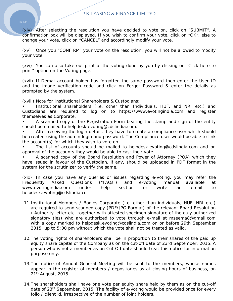(xiv) After selecting the resolution you have decided to vote on, click on "SUBMIT". A confirmation box will be displayed. If you wish to confirm your vote, click on "OK", else to change your vote, click on "CANCEL" and accordingly modify your vote.

(xv) Once you "CONFIRM" your vote on the resolution, you will not be allowed to modify your vote.

(xvi) You can also take out print of the voting done by you by clicking on "Click here to print" option on the Voting page.

(xvii) If Demat account holder has forgotten the same password then enter the User ID and the image verification code and click on Forgot Password & enter the details as prompted by the system.

(xviii) Note for Institutional Shareholders & Custodians:

• Institutional shareholders (i.e. other than Individuals, HUF, and NRI etc.) and Custodians are required to log on to https://www.evotingindia.com and register themselves as Corporate.

• A scanned copy of the Registration Form bearing the stamp and sign of the entity should be emailed to helpdesk.evoting@cdslindia.com.

After receiving the login details they have to create a compliance user which should be created using the admin login and password. The Compliance user would be able to link the account(s) for which they wish to vote on.

The list of accounts should be mailed to helpdesk.evoting@cdslindia.com and on approval of the accounts they would be able to cast their vote.

• A scanned copy of the Board Resolution and Power of Attorney (POA) which they have issued in favour of the Custodian, if any, should be uploaded in PDF format in the system for the scrutinizer to verify the same.

(xix) In case you have any queries or issues regarding e-voting, you may refer the Frequently Asked Questions ("FAQs") and e-voting manual available at www.evotingindia.com under help section or write an email to helpdesk.evoting@cdslindia.co

- 11.Institutional Members / Bodies Corporate (i.e. other than individuals, HUF, NRI etc.) are required to send scanned copy (PDF/JPG Format) of the relevant Board Resolution / Authority letter etc. together with attested specimen signature of the duly authorized signatory (ies) who are authorized to vote through e-mail at mseema8@gmail.com with a copy marked to helpdesk.evoting@cdslindia.com on or before 29th September 2015, up to 5:00 pm without which the vote shall not be treated as valid.
- 12.The voting rights of shareholders shall be in proportion to their shares of the paid up equity share capital of the Company as on the cut-off date of 23rd September, 2015. A person who is not a member as on Cut Off date should treat this notice for information purpose only.
- 13.The notice of Annual General Meeting will be sent to the members, whose names appear in the register of members / depositories as at closing hours of business, on  $21<sup>st</sup>$  August, 2015.
- 14.The shareholders shall have one vote per equity share held by them as on the cut-off date of 23<sup>rd</sup> September, 2015. The facility of e-voting would be provided once for every folio / client id, irrespective of the number of joint holders.

**PKLF**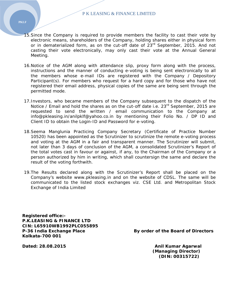- 15.Since the Company is required to provide members the facility to cast their vote by electronic means, shareholders of the Company, holding shares either in physical form or in dematerialized form, as on the cut-off date of 23<sup>rd</sup> September, 2015. And not casting their vote electronically, may only cast their vote at the Annual General Meeting.
- 16.Notice of the AGM along with attendance slip, proxy form along with the process, instructions and the manner of conducting e-voting is being sent electronically to all the members whose e-mail IDs are registered with the Company / Depository Participant(s). For members who request for a hard copy and for those who have not registered their email address, physical copies of the same are being sent through the permitted mode.
- 17.Investors, who became members of the Company subsequent to the dispatch of the Notice / Email and hold the shares as on the cut-off date i.e. 23<sup>rd</sup> September, 2015 are requested to send the written / email communication to the Company at info@pkleasing.in/anilpklf@yahoo.co.in by mentioning their Folio No. / DP ID and Client ID to obtain the Login-ID and Password for e-voting.
- 18.Seema Manglunia Practicing Company Secretary (Certificate of Practice Number 10520) has been appointed as the Scrutinizer to scrutinize the remote e-voting process and voting at the AGM in a fair and transparent manner. The Scrutinizer will submit, not later than 3 days of conclusion of the AGM, a consolidated Scrutinizer's Report of the total votes cast in favour or against, if any, to the Chairman of the Company or a person authorized by him in writing, which shall countersign the same and declare the result of the voting forthwith.
- 19.The Results declared along with the Scrutinizer's Report shall be placed on the Company's website www.pkleasing.in and on the website of CDSL. The same will be communicated to the listed stock exchanges viz. CSE Ltd. and Metropolitan Stock Exchange of India Limited

**Registered office:- P.K.LEASING & FINANCE LTD CIN: L65910WB1992PLC055895 Kolkata-700 001** 

P-36 India Exchange Place By order of the Board of Directors

 **(Managing Director) (DIN: 00315722)** 

**Dated: 28.08.2015 Dated: 28.08.2015**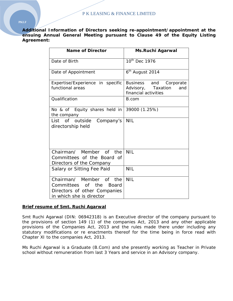**Additional Information of Directors seeking re-appointment/appointment at the ensuing Annual General Meeting pursuant to Clause 49 of the Equity Listing Agreement:** 

| <b>Name of Director</b>                                                                                                 | <b>Ms.Ruchi Agarwal</b>                           |  |  |  |
|-------------------------------------------------------------------------------------------------------------------------|---------------------------------------------------|--|--|--|
| Date of Birth                                                                                                           | $10th$ Dec 1976                                   |  |  |  |
| Date of Appointment                                                                                                     | 6 <sup>th</sup> August 2014                       |  |  |  |
| Expertise/Experience in specific                                                                                        | Business and<br>Corporate                         |  |  |  |
| functional areas                                                                                                        | Advisory, Taxation<br>and<br>financial activities |  |  |  |
| Qualification                                                                                                           | B.com                                             |  |  |  |
| No & of Equity shares held in<br>the company                                                                            | 39000 (1.25%)                                     |  |  |  |
| List of<br>outside Company's<br>directorship held                                                                       | <b>NIL</b>                                        |  |  |  |
| Chairman/ Member of the<br>Committees of the Board of<br>Directors of the Company                                       | <b>NIL</b>                                        |  |  |  |
| Salary or Sitting Fee Paid                                                                                              | <b>NIL</b>                                        |  |  |  |
| Chairman/ Member of<br>the<br>Committees<br>of the<br>Board<br>Directors of other Companies<br>in which she is director | <b>NIL</b>                                        |  |  |  |

#### **Brief resume of Smt. Ruchi Agarwal**

Smt Ruchi Agarwal (DIN: 06942318) is an Executive director of the company pursuant to the provisions of section 149 (1) of the companies Act, 2013 and any other applicable provisions of the Companies Act, 2013 and the rules made there under including any statutory modifications or re enactments thereof for the time being in force read with Chapter XI to the companies Act, 2013.

Ms Ruchi Agarwal is a Graduate (B.Com) and she presently working as Teacher in Private school without remuneration from last 3 Years and service in an Advisory company.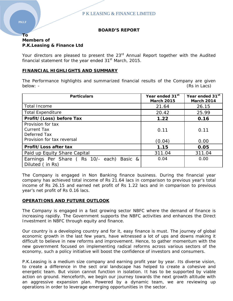#### **BOARD'S REPORT**

#### **To Members of P.K.Leasing & Finance Ltd**

Your directors are pleased to present the 23<sup>rd</sup> Annual Report together with the Audited financial statement for the year ended 31<sup>st</sup> March, 2015.

#### **FINANCIAL HIGHLIGHTS AND SUMMARY**

The Performance highlights and summarized financial results of the Company are given below: - (Rs in Lacs)

| <b>Particulars</b>                                                                    | Year ended 31 <sup>st</sup><br><b>March 2015</b> | Year ended 31 <sup>st</sup><br><b>March 2014</b> |
|---------------------------------------------------------------------------------------|--------------------------------------------------|--------------------------------------------------|
| <b>Total Income</b>                                                                   | 21.64                                            | 26.15                                            |
| <b>Total Expenditure</b>                                                              | 20.42                                            | 25.99                                            |
| Profit/(Loss) before Tax                                                              | 1.22                                             | 0.16                                             |
| Provision for tax<br><b>Current Tax</b><br>Deferred Tax<br>Provision for tax reversal | 0.11<br>(0.04)                                   | 0.11<br>0.00                                     |
| Profit/Loss after tax                                                                 | 1.15                                             | 0.05                                             |
| Paid up Equity Share Capital                                                          | 311.04                                           | 311.04                                           |
| Earnings Per Share (Rs 10/- each) Basic &<br>Diluted (in Rs)                          | 0.04                                             | 0.00                                             |

The Company is engaged in Non Banking finance business. During the financial year company has achieved total income of Rs 21.64 lacs in comparison to previous year's total income of Rs 26.15 and earned net profit of Rs 1.22 lacs and in comparison to previous year's net profit of Rs 0.16 lacs.

## **OPERATIONS AND FUTURE OUTLOOK**

The Company is engaged in a fast growing sector NBFC where the demand of finance is increasing rapidly. The Government supports the NBFC activities and enhances the Direct Investment in NBFC through equity and finance.

Our country is a developing country and for it, easy finance is must. The journey of global economic growth in the last few years, have witnessed a lot of ups and downs making it difficult to believe in new reforms and improvement. Hence, to gather momentum with the new government focused on implementing radical reforms across various sectors of the economy, such a policy initiative will boost the confidence of investors and consumers.

P.K.Leasing is a medium size company and earning profit year by year. Its diverse vision, to create a difference in the sect oral landscape has helped to create a cohesive and energetic team. But vision cannot function in isolation. It has to be supported by viable action on ground. Henceforth, we begin our journey towards the next growth altitude with an aggressive expansion plan. Powered by a dynamic team, we are reviewing up operations in order to leverage emerging opportunities in the sector.

**PKLF**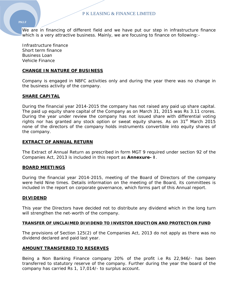#### **PKLF**

We are in financing of different field and we have put our step in infrastructure finance which is a very attractive business. Mainly, we are focusing to finance on following:-

Infrastructure finance Short term finance Business Loan Vehicle Finance

#### **CHANGE IN NATURE OF BUSINESS**

Company is engaged in NBFC activities only and during the year there was no change in the business activity of the company.

#### **SHARE CAPITAL**

During the financial year 2014-2015 the company has not raised any paid up share capital. The paid up equity share capital of the Company as on March 31, 2015 was Rs 3.11 crores. During the year under review the company has not issued share with differential voting rights nor has granted any stock option or sweat equity shares. As on 31<sup>st</sup> March 2015 none of the directors of the company holds instruments convertible into equity shares of the company.

#### **EXTRACT OF ANNUAL RETURN**

The Extract of Annual Return as prescribed in form MGT 9 required under section 92 of the Companies Act, 2013 is included in this report as **Annexure- I**.

#### **BOARD MEETINGS**

During the financial year 2014-2015, meeting of the Board of Directors of the company were held Nine times. Details information on the meeting of the Board, its committees is included in the report on corporate governance, which forms part of this Annual report.

#### **DIVIDEND**

This year the Directors have decided not to distribute any dividend which in the long turn will strengthen the net-worth of the company.

#### **TRANSFER OF UNCLAIMED DIVIDEND TO INVESTOR EDUCTION AND PROTECTION FUND**

The provisions of Section 125(2) of the Companies Act, 2013 do not apply as there was no dividend declared and paid last year.

#### **AMOUNT TRANSFERED TO RESERVES**

Being a Non Banking Finance company 20% of the profit i.e Rs 22,946/- has been transferred to statutory reserve of the company. Further during the year the board of the company has carried Rs 1, 17,014/- to surplus account.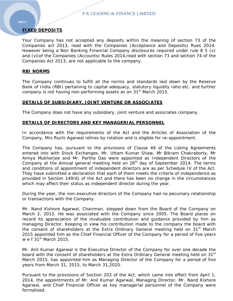## **FIXED DEPOSITS**

Your Company has not accepted any deposits within the meaning of section 73 of the Companies act 2013, read with the Companies (Acceptance and Deposits) Rues 2014. However being a Non Banking Financial Company disclosures required under rule 8 5 (v) and (vi)of the Companies (Accounts) Rules 2014,read with section 73 and section 74 of the Companies Act 2013, are not applicable to the company.

#### **RBI NORMS**

The Company continues to fulfill all the norms and standards laid down by the Reserve Bank of India (RBI) pertaining to capital adequacy, statutory liquidity ratio etc. and further company is not having non-performing assets as on 31<sup>st</sup> March 2015.

#### **DETAILS OF SUBSIDIARY, JOINT VENTURE OR ASSOCIATES**

The Company does not have any subsidiary, joint venture and associates company.

#### **DETAILS OF DIRECTORS AND KEY MANAGERIAL PERSONNEL**

In accordance with the requirements of the Act and the Articles of Association of the Company, Mrs Ruchi Agarwal retires by rotation and is eligible for re-appointment.

The Company has, pursuant to the provisions of Clause 49 of the Listing Agreements entered into with Stock Exchanges, Mr. Uttam Kumar Shaw, Mr Bikram Chakraborty, Mr Amiya Mukherjee and Mr. Partha Das were appointed as Independent Directors of the Company at the Annual general meeting held on  $26<sup>th</sup>$  day of September 2014. The terms and conditions of appointment of independent directors are as per Schedule IV of the Act. They have submitted a declaration that each of them meets the criteria of independence as provided in Section 149(6) of the Act and there has been no change in the circumstances which may affect their status as independent director during the year.

During the year, the non-executive directors of the Company had no pecuniary relationship or transactions with the Company.

Mr. Nand Kishore Agarwal, Chairman, stepped down from the Board of the Company on March 2, 2015. He was associated with the Company since 2005. The Board places on record its appreciation of the invaluable contribution and guidance provided by him as managing Director. Keeping in view his contribution made to the company the board with the consent of shareholders at the Extra Ordinary General meeting held on  $31<sup>st</sup>$  March 2015 appointed him as the Chief Financial Officer of the Company for a period of five years w e f  $31<sup>st</sup>$  March 2015.

Mr. Anil Kumar Agarwal is the Executive Director of the Company for over one decade the board with the consent of shareholders at the Extra Ordinary General meeting held on 31<sup>st</sup> March 2015, has appointed him as Managing Director of the Company for a period of five years from March 31, 2015, to March 31,2020.

Pursuant to the provisions of Section 203 of the Act, which came into effect from April 1, 2014, the appointments of Mr. Anil Kumar Agarwal, Managing Director, Mr. Nand Kishore Agarwal, and Chief Financial Officer as key managerial personnel of the Company were formalized.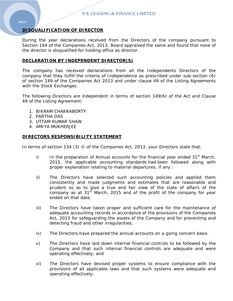## **DISQUALIFICATION OF DIRECTOR**

During the year declarations received from the Directors of the company pursuant to Section 164 of the Companies Act, 2013, Board appraised the same and found that none of the director is disqualified for holding office as director.

#### **DECLARATION BY INDEPENDENT DIRECTOR(S)**

The company has received declarations from all the Independents Directors of the company that they fulfill the criteria of Independence as prescribed under sub-section (6) of section 149 of the Companies Act 2013 and under clause 49 of the Listing Agreements with the Stock Exchanges.

The following Directors are independent in terms of section 149(6) of the Act and Clause 49 of the Listing Agreement:

- 1. BIKRAM CHAKRABORTY
- 2. PARTHA DAS
- 3. UTTAM KUMAR SHAW
- 4. AMIYA MUKHERJEE

#### **DIRECTORS RESPONSIBILITY STATEMENT**

In terms of section 134 (3) © of the Companies Act, 2013, your Directors state that:

- i) In the preparation of Annual accounts for the financial year ended  $31<sup>st</sup>$  March, 2015, the applicable accounting standards had been followed along with proper explanation relating to material departures, if any :
- ii) The Directors have selected such accounting policies and applied them consistently and made judgments and estimates that are reasonable and prudent so as to give a true and fair view of the state of affairs of the company as at  $31<sup>st</sup>$  March, 2015 and of the profit of the company for year ended on that date.
- iii) The Directors have taken proper and sufficient care for the maintenance of adequate accounting records in accordance of the provisions of the Companies Act, 2013 for safeguarding the assets of the Company and for preventing and detecting fraud and other irregularities;
- iv) The Directors have prepared the annual accounts on a going concern basis.
- v) The Directors have laid down internal financial controls to be followed by the Company and that such internal financial controls are adequate and were operating effectively; and
- vi) The Directors have devised proper systems to ensure compliance with the provisions of all applicable laws and that such systems were adequate and operating effectively.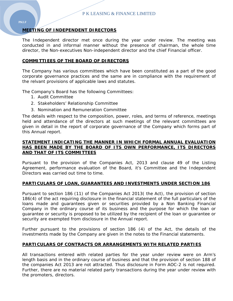## **MEETING OF INDEPENDENT DIRECTORS**

The Independent director met once during the year under review. The meeting was conducted in and informal manner without the presence of chairman, the whole time director, the Non-executives Non-independent director and the chief Financial officer.

#### **COMMITTIEES OF THE BOARD OF DIRECTORS**

The Company has various committees which have been constituted as a part of the good corporate governance practices and the same are in compliance with the requirement of the relvant provisions of applicable laws and statutes.

The Company's Board has the following Committees:

- 1. Audit Committee
- 2. Stakeholders' Relationship Committee
- 3. Nomination and Remuneration Committee

The details with respect to the composition, power, roles, and terms of reference, meetings held and attendance of the directors at such meetings of the relevant committees are given in detail in the report of corporate governance of the Company which forms part of this Annual report.

#### **STATEMENT INDICATING THE MANNER IN WHICH FORMAL ANNUAL EVALUATION HAS BEEN MADE BY THE BOARD OF ITS OWN PERFORMANCE, ITS DIRECTORS AND THAT OF ITS COMMITTEES**

Pursuant to the provision of the Companies Act, 2013 and clause 49 of the Listing Agreement, performance evaluation of the Board, it's Committee and the Independent Directors was carried out time to time.

#### **PARTICULARS OF LOAN, GUARANTEES AND INVESTMENTS UNDER SECTION 186**

Pursuant to section 186 (11) of the Companies Act 2013( the Act), the provision of section 186(4) of the act requiring disclosure in the financial statement of the full particulars of the loans made and guarantees given or securities provided by a Non Banking Financial Company in the ordinary course of its business and the purpose for which the loan or guarantee or security is proposed to be utilized by the recipient of the loan or guarantee or security are exempted from disclosure in the Annual report.

Further pursuant to the provisions of section 186 (4) of the Act, the details of the investments made by the Company are given in the notes to the Financial statements.

## **PARTICULARS OF CONTRACTS OR ARRANGEMENTS WITH RELATED PARTIES**

All transactions entered with related parties for the year under review were on Arm's length basis and in the ordinary course of business and that the provision of section 188 of the companies Act 2013 are not attracted. Thus disclosure in Form AOC-2 is not required. Further, there are no material related party transactions during the year under review with the promoters, directors.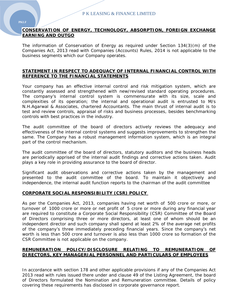## **CONSERVATION OF ENERGY, TECHNOLOGY, ABSORPTION, FOREIGN EXCHANGE EARNING AND OUTGO**

The information of Conservation of Energy as required under Section 134(3)(m) of the Companies Act, 2013 read with Companies (Accounts) Rules, 2014 is not applicable to the business segments which our Company operates.

#### **STATEMENT IN RESPECT TO ADEQUACY OF INTERNAL FINANCIAL CONTROL WITH REFERENCE TO THE FINANCIAL STATEMENTS**

Your company has an effective internal control and risk mitigation system, which are constantly assessed and strengthened with new/revised standard operating procedures. The company's internal control system is commensurate with its size, scale and complexities of its operation; the internal and operational audit is entrusted to M/s N.H.Agarwal & Associates, chartered Accountants. The main thrust of internal audit is to test and review controls, appraisal of risks and business processes, besides benchmarking controls with best practices in the industry.

The audit committee of the board of directors actively reviews the adequacy and effectiveness of the internal control systems and suggests improvements to strengthen the same. The Company has a robust management information system, which is an integral part of the control mechanism.

The audit committee of the board of directors, statutory auditors and the business heads are periodically apprised of the internal audit findings and corrective actions taken. Audit plays a key role in providing assurance to the board of director.

Significant audit observations and corrective actions taken by the management and presented to the audit committee of the board. To maintain it objectively and independence, the internal audit function reports to the chairman of the audit committee

#### **CORPORATE SOCIAL RESPONSIBILITY (CSR) POLICY**

As per the Companies Act, 2013, companies having net worth of 500 crore or more, or turnover of 1000 crore or more or net profit of 5 crore or more during any financial year are required to constitute a Corporate Social Responsibility (CSR) Committee of the Board of Directors comprising three or more directors, at least one of whom should be an independent director and such company shall spend at least 2% of the average net profits of the company's three immediately preceding financial years. Since the company's net worth is less than 500 crore and turnover is also less than 1000 crore so formation of the CSR Committee is not applicable on the company.

## **REMUNERATION POLICY/DISCLOSURE RELATING TO REMUNERATION OF DIRECTORS, KEY MANAGERIAL PERSONNEL AND PARTICULARS OF EMPLOYEES**

In accordance with section 178 and other applicable provisions if any of the Companies Act 2013 read with rules issued there under and clause 49 of the Listing Agreement, the board of Directors formulated the Nomination and Remuneration committee. Details of policy covering these requirements has disclosed in corporate governance report.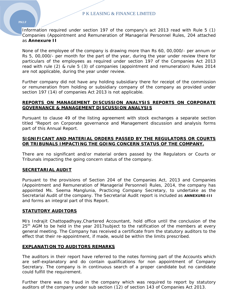#### Information required under section 197 of the company's act 2013 read with Rule 5 (1) Companies (Appointment and Remuneration of Managerial Personnel Rules, 204 attached as **Annexure II**

None of the employee of the company is drawing more than Rs 60, 00,000/- per annum or Rs 5, 00,000/- per month for the part of the year, during the year under review there for particulars of the employees as required under section 197 of the Companies Act 2013 read with rule (2) & rule 5 (3) of companies (appointment and remuneration) Rules 2014 are not applicable, during the year under review.

Further company did not have any holding subsidiary there for receipt of the commission or remuneration from holding or subsidiary company of the company as provided under section 197 (14) of companies Act 2013 is not applicable.

#### **REPORTS ON MANAGEMENT DISCUSSION ANALYSIS REPORTS ON CORPORATE GOVERNANCE & MANAGEMENT DISCUSSION ANALYSIS**

Pursuant to clause 49 of the listing agreement with stock exchanges a separate section titled "Report on Corporate governance and Management discussion and analysis forms part of this Annual Report.

#### **SIGNIFICANT AND MATERIAL ORDERS PASSED BY THE REGULATORS OR COURTS OR TRIBUNALS IMPACTING THE GOING CONCERN STATUS OF THE COMPANY.**

There are no significant and/or material orders passed by the Regulators or Courts or Tribunals impacting the going concern status of the company.

#### **SECRETARIAL AUDIT**

Pursuant to the provisions of Section 204 of the Companies Act, 2013 and Companies (Appointment and Remuneration of Managerial Personnel) Rules, 2014, the company has appointed Ms. Seema Manglunia, Practicing Company Secretary, to undertake as the Secretarial Audit of the company. The Secretarial Audit report is included as **ANNEXURE-III** and forms an integral part of this Report.

#### **STATUTORY AUDITORS**

M/s Indrajit Chattopadhyay,Chartered Accountant, hold office until the conclusion of the  $25<sup>th</sup>$  AGM to be held in the year 2017 subject to the ratification of the members at every general meeting. The Company has received a certificate from the statutory auditors to the effect that their re-appointment, if made, would be within the limits prescribed.

#### **EXPLANATION TO AUDITORS REMARKS**

The auditors in their report have referred to the notes forming part of the Accounts which are self-explanatory and do contain qualifications for non appointment of Company Secretary. The company is in continuous search of a proper candidate but no candidate could fulfill the requirement.

Further there was no fraud in the company which was required to report by statutory auditors of the company under sub section (12) of section 143 of Companies Act 2013.

#### **PKLF**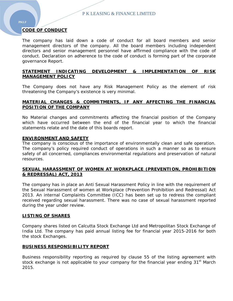## **CODE OF CONDUCT**

The company has laid down a code of conduct for all board members and senior management directors of the company. All the board members including independent directors and senior management personnel have affirmed compliance with the code of conduct. Declaration on adherence to the code of conduct is forming part of the corporate governance Report.

#### **STATEMENT INDICATING DEVELOPMENT & IMPLEMENTATION OF RISK MANAGEMENT POLICY**

The Company does not have any Risk Management Policy as the element of risk threatening the Company's existence is very minimal.

#### **MATERIAL CHANGES & COMMITMENTS, IF ANY AFFECTING THE FINANCIAL POSITION OF THE COMPANY**

No Material changes and commitments affecting the financial position of the Company which have occurred between the end of the financial year to which the financial statements relate and the date of this boards report.

#### **ENVIRONMENT AND SAFETY**

The company is conscious of the importance of environmentally clean and safe operation. The company's policy required conduct of operations in such a manner so as to ensure safety of all concerned, compliances environmental regulations and preservation of natural resources.

#### **SEXUAL HARASSMENT OF WOMEN AT WORKPLACE (PREVENTION, PROHIBITION & REDRESSAL) ACT, 2013**

The company has in place an Anti Sexual Harassment Policy in line with the requirement of the Sexual Harassment of women at Workplace (Prevention Prohibition and Redressal) Act 2013. An internal Complaints Committee (ICC) has been set up to redress the compliant received regarding sexual harassment. There was no case of sexual harassment reported during the year under review.

#### **LISTING OF SHARES**

Company shares listed on Calcutta Stock Exchange Ltd and Metropolitan Stock Exchange of India Ltd. The company has paid annual listing fee for financial year 2015-2016 for both the stock Exchanges.

#### **BUSINESS RESPONSIBILITY REPORT**

Business responsibility reporting as required by clause 55 of the listing agreement with stock exchange is not applicable to your company for the financial year ending  $31<sup>st</sup>$  March 2015.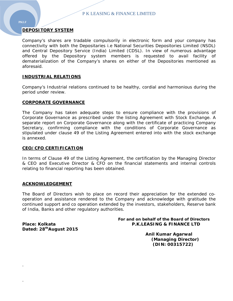## **DEPOSITORY SYSTEM**

Company's shares are tradable compulsorily in electronic form and your company has connectivity with both the Depositaries i.e National Securities Depositories Limited (NSDL) and Central Depository Service (India) Limited (CDSL). In view of numerous advantage offered by the Depository system members is requested to avail facility of dematerialization of the Company's shares on either of the Depositories mentioned as aforesaid.

#### **INDUSTRIAL RELATIONS**

Company's Industrial relations continued to be healthy, cordial and harmonious during the period under review.

#### **CORPORATE GOVERNANCE**

The Company has taken adequate steps to ensure compliance with the provisions of Corporate Governance as prescribed under the listing Agreement with Stock Exchange. A separate report on Corporate Governance along with the certificate of practicing Company Secretary, confirming compliance with the conditions of Corporate Governance as stipulated under clause 49 of the Listing Agreement entered into with the stock exchange is annexed.

#### **CEO/CFO CERTIFICATION**

In terms of Clause 49 of the Listing Agreement, the certification by the Managing Director & CEO and Executive Director & CFO on the financial statements and internal controls relating to financial reporting has been obtained.

#### **ACKNOWLEDGEMENT**

The Board of Directors wish to place on record their appreciation for the extended cooperation and assistance rendered to the Company and acknowledge with gratitude the continued support and co operation extended by the investors, stakeholders, Reserve bank of India, Banks and other regulatory authorities.

**Dated: 28thAugust 2015** 

.

.

#### **For and on behalf of the Board of Directors Place: Kolkata P.K.LEASING & FINANCE LTD**

**Anil Kumar Agarwal (Managing Director) (DIN: 00315722)**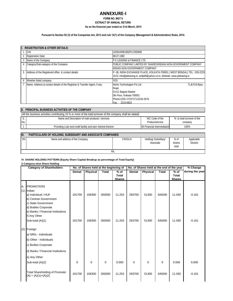#### **ANNEXURE‐I**

#### **As on the financial year ended on 31st March, 2015 EXTRACT OF ANNUAL RETURN FORM NO. MGT 9**

#### **Pursuant to Section 92 (3) of the Companies Act, 2013 and rule 12(1) of the Company (Management & Administration) Rules, 2014.**

|   | <b>REGISTRATION &amp; OTHER DETAILS:</b>                                   |                                                                          |  |  |  |  |  |
|---|----------------------------------------------------------------------------|--------------------------------------------------------------------------|--|--|--|--|--|
|   | <b>CIN</b>                                                                 | L65910WB1992PLC055895                                                    |  |  |  |  |  |
|   | 2 Registration Date                                                        | 08.07.1992                                                               |  |  |  |  |  |
| 3 | Name of the Company                                                        | <b>IP K LEASING &amp; FINANCE LTD</b>                                    |  |  |  |  |  |
|   | Category/Sub-category of the Company                                       | PUBLIC COMPANY LIMITED BY SHARES/INDIAN NON-GOVERNMENT COMPANY           |  |  |  |  |  |
|   |                                                                            | <b>INDIAN NON-GOVERNMENT COMPANY</b>                                     |  |  |  |  |  |
| 5 | Address of the Registered office & contact details                         | P-36, INDIA EXCHANGE PLACE, KOLKATA-700001 (WEST BENGAL) TEL: 033-2225   |  |  |  |  |  |
|   |                                                                            | 3123, info@pkleasing.in, anilpklf@yahoo.co.in, Website: www.pkleasing.in |  |  |  |  |  |
| 6 | Whether listed company                                                     | <b>YFS</b>                                                               |  |  |  |  |  |
|   | Name, Address & contact details of the Registrar & Transfer Agent, if any. | Niche Technologies Pvt Ltd<br>71.B.R.B.Basu                              |  |  |  |  |  |
|   |                                                                            | Road,                                                                    |  |  |  |  |  |
|   |                                                                            | D-511 Bagree Market                                                      |  |  |  |  |  |
|   |                                                                            | 5th Floor, Kolkata-700001                                                |  |  |  |  |  |
|   |                                                                            | Phone:2235-7270/7271/2234-3576                                           |  |  |  |  |  |
|   |                                                                            | 2215-6823<br>Fax∙                                                        |  |  |  |  |  |

|     | II. PRINCIPAL BUSINESS ACTIVITIES OF THE COMPANY                                                             |                             |                            |  |  |  |  |  |  |
|-----|--------------------------------------------------------------------------------------------------------------|-----------------------------|----------------------------|--|--|--|--|--|--|
|     | (All the business activities contributing 10 % or more of the total turnover of the company shall be stated) |                             |                            |  |  |  |  |  |  |
|     | Name and Description of main products / services                                                             | NIC Code of the             | % to total turnover of the |  |  |  |  |  |  |
| No. |                                                                                                              | Product/service             | company                    |  |  |  |  |  |  |
|     | Providing Loan and credit facility and earn interest thereon                                                 | 65-Financial Intermediation | 100%                       |  |  |  |  |  |  |
|     |                                                                                                              |                             |                            |  |  |  |  |  |  |

| III. | <b>PARTICULARS OF HOLDING, SUBSIDIARY AND ASSOCIATE COMPANIES</b> |         |                                   |                          |                       |  |  |
|------|-------------------------------------------------------------------|---------|-----------------------------------|--------------------------|-----------------------|--|--|
| SN   | Name and address of the Company                                   | CIN/GLN | Holding/ Subsidiary/<br>Associate | $%$ of<br>shares<br>held | Applicable<br>Section |  |  |
|      | <b>NIL</b>                                                        |         |                                   |                          |                       |  |  |

#### **IV. SHARE HOLDING PATTERN (Equity Share Capital Breakup as percentage of Total Equity)**

**i) Category-wise Share Holding**

| <b>Category of Shareholders</b> |                                                                                                                                                                                     | No. of Shares held at the beginning of |                 |              | No. of Shares held at the end of the year |              |          |              | % Change               |                 |
|---------------------------------|-------------------------------------------------------------------------------------------------------------------------------------------------------------------------------------|----------------------------------------|-----------------|--------------|-------------------------------------------|--------------|----------|--------------|------------------------|-----------------|
|                                 |                                                                                                                                                                                     | Demat                                  | <b>Physical</b> | <b>Total</b> | $%$ of<br>Total                           | <b>Demat</b> | Physical | <b>Total</b> | $%$ of<br><b>Total</b> | during the year |
|                                 |                                                                                                                                                                                     |                                        |                 |              | <b>Shares</b>                             |              |          |              | <b>Shares</b>          |                 |
| Α.                              | <b>PROMOTERS</b><br>$(1)$ Indian<br>a) Individual / HUF<br>b) Centran Government<br>c) State Government<br>d) Bodies Corporate<br>e) Banks / Financial Institutions<br>f) Any Other | 191700                                 | 158300          | 350000       | 11.253                                    | 293700       | 51300    | 345000       | 11.092                 | $-0.161$        |
|                                 | Sub-total (A)(1)                                                                                                                                                                    | 191700                                 | 158300          | 350000       | 11.253                                    | 293700       | 51300    | 345000       | 11.092                 | $-0.161$        |
| (2)                             | Foreign<br>a) NRIs - Individuals<br>b) Other - Individuals<br>c) Bodies Corporate<br>d) Banks / Financial Institutions<br>e) Any Other                                              |                                        |                 |              |                                           |              |          |              |                        |                 |
|                                 | Sub-total (A)(2)                                                                                                                                                                    | $\Omega$                               | $\Omega$        | $\mathbf 0$  | 0.000                                     | $\Omega$     | $\Omega$ | $\Omega$     | 0.000                  | 0.000           |
|                                 | <b>Total Shareholding of Promoter</b><br>$(A) = (A)(1)+(A)(2)$                                                                                                                      | 191700                                 | 158300          | 350000       | 11.253                                    | 293700       | 51300    | 345000       | 11.092                 | $-0.161$        |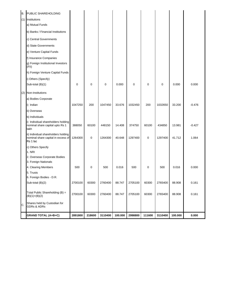|    | <b>B. PUBLIC SHAREHOLDING</b>                                                         |         |        |         |         |         |        |         |         |          |
|----|---------------------------------------------------------------------------------------|---------|--------|---------|---------|---------|--------|---------|---------|----------|
|    | (1) Institutions                                                                      |         |        |         |         |         |        |         |         |          |
|    | a) Mutual Funds                                                                       |         |        |         |         |         |        |         |         |          |
|    | b) Banks / Financial Institutions                                                     |         |        |         |         |         |        |         |         |          |
|    | c) Central Governments                                                                |         |        |         |         |         |        |         |         |          |
|    | d) State Governments                                                                  |         |        |         |         |         |        |         |         |          |
|    | e) Venture Capital Funds                                                              |         |        |         |         |         |        |         |         |          |
|    | f) Insurance Companies<br>g) Foreign Institutional Investors<br>(FII)                 |         |        |         |         |         |        |         |         |          |
|    | h) Foreign Venture Capital Funds                                                      |         |        |         |         |         |        |         |         |          |
|    | i) Others (Specify)                                                                   |         |        |         |         |         |        |         |         |          |
|    | Sub-total (B)(1)                                                                      | 0       | 0      | 0       | 0.000   | 0       | 0      | 0       | 0.000   | 0.000    |
|    | (2) Non-Institutions                                                                  |         |        |         |         |         |        |         |         |          |
|    | a) Bodies Corporate                                                                   |         |        |         |         |         |        |         |         |          |
|    | i) Indian                                                                             | 1047250 | 200    | 1047450 | 33.676  | 1032450 | 200    | 1032650 | 33.200  | $-0.476$ |
|    | ii) Overseas                                                                          |         |        |         |         |         |        |         |         |          |
|    | b) Individuals                                                                        |         |        |         |         |         |        |         |         |          |
|    | i) Individual shareholders holding<br>nominal share capital upto Rs 1<br>lakh         | 388050  | 60100  | 448150  | 14.408  | 374750  | 60100  | 434850  | 13.981  | $-0.427$ |
|    | ii) Individual shareholders holding<br>nominal share capital in excess of<br>Rs 1 lac | 1264300 | 0      | 1264300 | 40.648  | 1297400 | 0      | 1297400 | 41.712  | 1.064    |
|    | c) Others Specify<br>1. NRI                                                           |         |        |         |         |         |        |         |         |          |
|    | 2. Overseas Corporate Bodies                                                          |         |        |         |         |         |        |         |         |          |
|    | 3. Foreign Nationals                                                                  |         |        |         |         |         |        |         |         |          |
|    | 4. Clearing Members                                                                   | 500     | 0      | 500     | 0.016   | 500     | 0      | 500     | 0.016   | 0.000    |
|    | 5. Trusts                                                                             |         |        |         |         |         |        |         |         |          |
|    | 6. Foreign Bodies - D.R.                                                              |         |        |         |         |         |        |         |         |          |
|    | Sub-total (B)(2)                                                                      | 2700100 | 60300  | 2760400 | 88.747  | 2705100 | 60300  | 2765400 | 88.908  | 0.161    |
|    | Total Public Shareholding (B) =<br>$(B)(1)+(B)(2)$                                    | 2700100 | 60300  | 2760400 | 88.747  | 2705100 | 60300  | 2765400 | 88.908  | 0.161    |
| C. | Shares held by Custodian for<br><b>GDRs &amp; ADRs</b>                                |         |        |         |         |         |        |         |         |          |
|    | <b>GRAND TOTAL (A+B+C)</b>                                                            | 2891800 | 218600 | 3110400 | 100.000 | 2998800 | 111600 | 3110400 | 100.000 | 0.000    |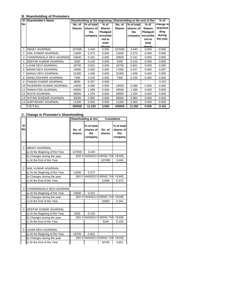#### **B. Shareholding of Promoters**

| <b>SI</b> | Shareholder's Name            | Shareholding at the beginning |            |                 | Shareholding at the end of the | $%$ of     |                 |           |
|-----------|-------------------------------|-------------------------------|------------|-----------------|--------------------------------|------------|-----------------|-----------|
| No        |                               | No. of                        | % of total | $%$ of          | No. of                         | % of total | $%$ of          | change in |
|           |                               | <b>Shares</b>                 | shares of  | <b>Shares</b>   | <b>Shares</b>                  | shares of  | <b>Shares</b>   | sharehol  |
|           |                               |                               | the        | Pledged/        |                                | the        | Pledged/        | ding      |
|           |                               |                               | company    | encumbe         |                                | company    | encumbe         | during    |
|           |                               |                               |            | red to          |                                |            | red to          | the year  |
|           |                               |                               |            | total<br>charac |                                |            | total<br>charac |           |
|           | <b>ABHAY AGARWAL</b>          | 107000                        | 3.440      | 0.000           | 107000                         | 3.440      | 0.000           | 0.000     |
| 2         | ANIL KUMAR AGARWAL            | 11600                         | 0.373      | 0.000           | 11600                          | 0.373      | 0.000           | 0.000     |
| 3         | CHANDRAKALA DEVI AGARWAL      | 10600                         | 0.341      | 0.000           | 10600                          | 0.341      | 0.000           | 0.000     |
| 4         | DEEPAK KUMAR AGARWAL          | 3200                          | 0.103      | 0.000           | 3200                           | 0.103      | 0.000           | 0.000     |
| 5         | <b>LAXMI DEVI AGARWAL</b>     | 18700                         | 0.601      | 0.000           | 18700                          | 0.601      | 0.000           | 0.000     |
| 6         | MAINA DEVI AGARWAL            | 14000                         | 0.450      | 0.000           | 17000                          | 0.547      | 0.000           | 0.097     |
| 7         | MANJU DEVI AGARWAL            | 31300                         | 1.006      | 0.000           | 31300                          | 1.006      | 0.000           | 0.000     |
| 8         | NAND KISHORE AGARWAL          | 7300                          | 0.235      | 0.000           | 7300                           | 0.235      | 0.000           | 0.000     |
| 9         | <b>PAWAN KUMAR AGARWAL</b>    | 8000                          | 0.257      | 0.000           |                                |            |                 | $-0.257$  |
| 10        | <b>RAJENDRA KUMAR AGARWAL</b> | 14500                         | 0.466      | 0.000           | 14500                          | 0.466      | 0.000           | 0.000     |
| 11        | <b>RAMAUTAR AGARWAL</b>       | 43500                         | 1.399      | 0.000           | 43500                          | 1.399      | 0.000           | 0.000     |
|           | <b>12 RUCHI AGARWAL</b>       | 39000                         | 1.254      | 0.000           | 39000                          | 1.254      | 0.000           | 0.000     |
|           | 13 SHYAM SUNDAR AGARWAL       | 30000                         | 0.965      | 0.000           | 30000                          | 0.965      | 0.000           | 0.000     |
|           | <b>14 SURYAKANT AGARWAL</b>   | 11300                         | 0.363      | 0.000           | 11300                          | 0.363      | 0.000           | 0.000     |
|           | TOTAL                         | 350000                        | 11.253     | 0.000           | 345000                         | 11.092     | 0.000           | $-0.161$  |

#### **C. Change in Promoter's Shareholding**

|                 |                                |                                     | Shareholding at the                       |                  | Cumulative                                |  |
|-----------------|--------------------------------|-------------------------------------|-------------------------------------------|------------------|-------------------------------------------|--|
| SI<br><b>No</b> |                                | No. of<br>shares                    | % of total<br>shares of<br>the<br>company | No. of<br>shares | % of total<br>shares of<br>the<br>company |  |
|                 |                                |                                     |                                           |                  |                                           |  |
| 1               | <b>ABHAY AGARWAL</b>           |                                     |                                           |                  |                                           |  |
|                 | a) At the Begining of the Year | 107000                              | 3.440                                     |                  |                                           |  |
|                 | b) Changes during the year     |                                     | <b>INO CHANGES DURING THE YEARI</b>       |                  |                                           |  |
|                 | c) At the End of the Year      |                                     |                                           | 107000           | 3.440                                     |  |
|                 |                                |                                     |                                           |                  |                                           |  |
| $\mathfrak{p}$  | <b>ANIL KUMAR AGARWAL</b>      |                                     |                                           |                  |                                           |  |
|                 | a) At the Begining of the Year | 11600                               | 0.373                                     |                  |                                           |  |
|                 | b) Changes during the year     | <b>INO CHANGES DURING THE YEARI</b> |                                           |                  |                                           |  |
|                 | c) At the End of the Year      |                                     |                                           | 11600            | 0.373                                     |  |
|                 |                                |                                     |                                           |                  |                                           |  |
| 3               | CHANDRAKALA DEVI AGARWAL       |                                     |                                           |                  |                                           |  |
|                 | a) At the Begining of the Year | 10600                               | 0.341                                     |                  |                                           |  |
|                 | b) Changes during the year     | <b>INO CHANGES DURING THE YEARI</b> |                                           |                  |                                           |  |
|                 | c) At the End of the Year      |                                     |                                           | 10600            | 0.341                                     |  |
|                 |                                |                                     |                                           |                  |                                           |  |
| 4               | DEEPAK KUMAR AGARWAL           |                                     |                                           |                  |                                           |  |
|                 | a) At the Begining of the Year | 3200                                | 0.103                                     |                  |                                           |  |
|                 | b) Changes during the year     |                                     | <b>INO CHANGES DURING THE YEARI</b>       |                  |                                           |  |
|                 | c) At the End of the Year      |                                     |                                           | 3200             | 0.103                                     |  |
|                 |                                |                                     |                                           |                  |                                           |  |
| 5               | <b>LAXMI DEVI AGARWAL</b>      |                                     |                                           |                  |                                           |  |
|                 | a) At the Begining of the Year | 18700                               | 0.601                                     |                  |                                           |  |
|                 | b) Changes during the year     |                                     | <b>INO CHANGES DURING THE YEARI</b>       |                  |                                           |  |
|                 | c) At the End of the Year      |                                     |                                           | 18700            | 0.601                                     |  |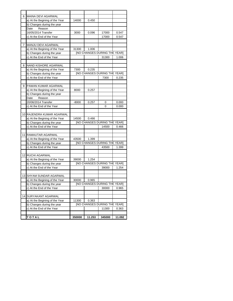| 6               | <b>MAINA DEVI AGARWAL</b>      |         |        |                                     |        |
|-----------------|--------------------------------|---------|--------|-------------------------------------|--------|
|                 | a) At the Begining of the Year | 14000   | 0.450  |                                     |        |
|                 | b) Changes during the year     |         |        |                                     |        |
|                 | Reason<br>Date                 |         |        |                                     |        |
|                 | 16/05/2014 Transfer            | 3000    | 0.096  | 17000                               | 0.547  |
|                 | c) At the End of the Year      |         |        | 17000                               | 0.547  |
|                 |                                |         |        |                                     |        |
| 7               | MANJU DEVI AGARWAL             |         |        |                                     |        |
|                 | a) At the Begining of the Year | 31300   | 1.006  |                                     |        |
|                 | b) Changes during the year     |         |        | [NO CHANGES DURING THE YEAR]        |        |
|                 | c) At the End of the Year      |         |        | 31300                               | 1.006  |
|                 |                                |         |        |                                     |        |
| 8               | NAND KISHORE AGARWAL           |         |        |                                     |        |
|                 | a) At the Begining of the Year | 7300    | 0.235  |                                     |        |
|                 | b) Changes during the year     |         |        | <b>INO CHANGES DURING THE YEAR]</b> |        |
|                 | c) At the End of the Year      |         |        | 7300                                | 0.235  |
|                 |                                |         |        |                                     |        |
|                 | PAWAN KUMAR AGARWAL            |         |        |                                     |        |
| 9               |                                |         |        |                                     |        |
|                 | a) At the Begining of the Year | 8000    | 0.257  |                                     |        |
|                 | b) Changes during the year     |         |        |                                     |        |
|                 | Date<br>Reason                 |         |        |                                     |        |
|                 | 20/06/2014 Transfer            | $-8000$ | 0.257  | 0                                   | 0.000  |
|                 | c) At the End of the Year      |         |        | 0                                   | 0.000  |
|                 |                                |         |        |                                     |        |
|                 | 10 RAJENDRA KUMAR AGARWAL      |         |        |                                     |        |
|                 | a) At the Begining of the Year | 14500   | 0.466  |                                     |        |
|                 | b) Changes during the year     |         |        | [NO CHANGES DURING THE YEAR]        |        |
|                 | c) At the End of the Year      |         |        | 14500                               | 0.466  |
|                 |                                |         |        |                                     |        |
|                 | 11 RAMAUTAR AGARWAL            |         |        |                                     |        |
|                 | a) At the Begining of the Year | 43500   | 1.399  |                                     |        |
|                 | b) Changes during the year     |         |        | [NO CHANGES DURING THE YEAR]        |        |
|                 | c) At the End of the Year      |         |        | 43500                               | 1.399  |
|                 |                                |         |        |                                     |        |
|                 | 12 RUCHI AGARWAL               |         |        |                                     |        |
|                 | a) At the Begining of the Year | 39000   | 1.254  |                                     |        |
|                 | b) Changes during the year     |         |        | [NO CHANGES DURING THE YEAR]        |        |
|                 | c) At the End of the Year      |         |        | 39000                               | 1.254  |
|                 |                                |         |        |                                     |        |
| 131             | <b>SHYAM SUNDAR AGARWAL</b>    |         |        |                                     |        |
|                 | a) At the Begining of the Year | 30000   | 0.965  |                                     |        |
|                 | b) Changes during the year     |         |        | [NO CHANGES DURING THE YEAR]        |        |
|                 | c) At the End of the Year      |         |        | 30000                               | 0.965  |
|                 |                                |         |        |                                     |        |
| 14 <sup>1</sup> | SURYAKANT AGARWAL              |         |        |                                     |        |
|                 | a) At the Begining of the Year | 11300   | 0.363  |                                     |        |
|                 | b) Changes during the year     |         |        | <b>INO CHANGES DURING THE YEAR]</b> |        |
|                 | c) At the End of the Year      |         |        | 11300                               | 0.363  |
|                 |                                |         |        |                                     |        |
|                 | TOTAL                          | 350000  | 11.253 | 345000                              | 11.092 |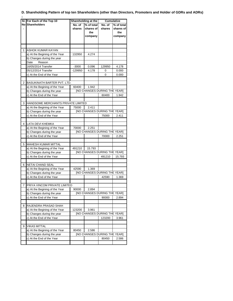#### **D. Shareholding Pattern of top ten Shareholders (other than Directors, Promoters and Holder of GDRs and ADRs)**

|   | SI. For Each of the Top 10         | Shareholding at the |                                              | <b>Cumulative</b> |            |
|---|------------------------------------|---------------------|----------------------------------------------|-------------------|------------|
|   | <b>No Shareholders</b>             | No. of              | % of total                                   | No. of            | % of total |
|   |                                    | shares              | shares of                                    | shares            | shares of  |
|   |                                    |                     | the                                          |                   | the        |
|   |                                    |                     | company                                      |                   | company    |
|   |                                    |                     |                                              |                   |            |
|   |                                    |                     |                                              |                   |            |
| 1 | ASHOK KUMAR KAYAN                  |                     |                                              |                   |            |
|   | a) At the Begining of the Year     | 132950              | 4.274                                        |                   |            |
|   | b) Changes during the year         |                     |                                              |                   |            |
|   | Date<br>Reason                     |                     |                                              |                   |            |
|   | 16/05/2014 Transfer                | $-3000$             | 0.096                                        | 129950            | 4.178      |
|   | 05/12/2014 Transfer                | -129950             | 4.178                                        | 0                 | 0.000      |
|   | c) At the End of the Year          |                     |                                              | 0                 | 0.000      |
|   |                                    |                     |                                              |                   |            |
| 2 | BASUKINATH BARTER PVT. LTD.        |                     |                                              |                   |            |
|   | a) At the Begining of the Year     | 60400               | 1.942                                        |                   |            |
|   | b) Changes during the year         |                     | [NO CHANGES DURING THE YEAR]                 |                   |            |
|   | c) At the End of the Year          |                     |                                              | 60400             | 1.942      |
|   |                                    |                     |                                              |                   |            |
| 3 | HANDSOME MERCHANTS PRIVATE LIMITED |                     |                                              |                   |            |
|   | a) At the Begining of the Year     | 75000               | 2.411                                        |                   |            |
|   | b) Changes during the year         |                     | <b>INO CHANGES DURING THE YEAR]</b>          |                   |            |
|   | c) At the End of the Year          |                     |                                              | 75000             | 2.411      |
| 4 | <b>LATA DEVI KHEMKA</b>            |                     |                                              |                   |            |
|   |                                    |                     |                                              |                   |            |
|   | a) At the Begining of the Year     | 70000               | 2.251<br><b>[NO CHANGES DURING THE YEAR]</b> |                   |            |
|   | b) Changes during the year         |                     |                                              |                   |            |
|   | c) At the End of the Year          |                     |                                              | 70000             | 2.251      |
| 5 | <b>MAHESH KUMAR MITTAL</b>         |                     |                                              |                   |            |
|   | a) At the Begining of the Year     | 491210              | 15.793                                       |                   |            |
|   | b) Changes during the year         |                     | [NO CHANGES DURING THE YEAR]                 |                   |            |
|   | c) At the End of the Year          |                     |                                              | 491210            | 15.793     |
|   |                                    |                     |                                              |                   |            |
| 6 | <b>NETAI CHAND SEAL</b>            |                     |                                              |                   |            |
|   | a) At the Begining of the Year     | 42590               | 1.369                                        |                   |            |
|   | b) Changes during the year         |                     | <b>[NO CHANGES DURING THE YEAR]</b>          |                   |            |
|   | c) At the End of the Year          |                     |                                              | 42590             | 1.369      |
|   |                                    |                     |                                              |                   |            |
|   | 7 PRIYA VINCOM PRIVATE LIMITED     |                     |                                              |                   |            |
|   | a) At the Begining of the Year     | 90000               | 2.894                                        |                   |            |
|   | b) Changes during the year         |                     | <b>INO CHANGES DURING THE YEAR]</b>          |                   |            |
|   | c) At the End of the Year          |                     |                                              | 90000             | 2.894      |
|   |                                    |                     |                                              |                   |            |
| 8 | RAJENDRA PRASAD SHAH               |                     |                                              |                   |            |
|   | a) At the Begining of the Year     | 123200              | 3.961                                        |                   |            |
|   | b) Changes during the year         |                     | <b>INO CHANGES DURING THE YEAR]</b>          |                   |            |
|   | c) At the End of the Year          |                     |                                              | 123200            | 3.961      |
|   |                                    |                     |                                              |                   |            |
| 9 | <b>VIKAS MITTAL</b>                |                     |                                              |                   |            |
|   | a) At the Begining of the Year     | 80450               | 2.586                                        |                   |            |
|   | b) Changes during the year         |                     | [NO CHANGES DURING THE YEAR]                 |                   |            |
|   | c) At the End of the Year          |                     |                                              | 80450             | 2.586      |
|   |                                    |                     |                                              |                   |            |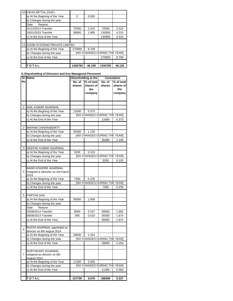|    | TOTAL                          | 1436700 | 46.190 | 1434700                             | 46.126 |
|----|--------------------------------|---------|--------|-------------------------------------|--------|
|    |                                |         |        |                                     |        |
|    | c) At the End of the Year      |         |        | 270900                              | 8.709  |
|    | b) Changes during the year     |         |        | <b>INO CHANGES DURING THE YEARI</b> |        |
|    | a) At the Begining of the Year | 270900  | 8.709  |                                     |        |
| 11 | ZOOM SYSTEMS PRIVATE LIMITED   |         |        |                                     |        |
|    |                                |         |        |                                     |        |
|    | c) At the End of the Year      |         |        | 130950                              | 4.210  |
|    | 16/01/2015 Transfer            | 58950   | 1.895  | 130950                              | 4.210  |
|    | 31/12/2014 Transfer            | 72000   | 2.315  | 72000                               | 2.315  |
|    | Reason<br>Date                 |         |        |                                     |        |
|    | b) Changes during the year     |         |        |                                     |        |
|    | a) At the Begining of the Year | 0       | 0.000  |                                     |        |
|    | 10 VIKAS MITTAL (HUF).         |         |        |                                     |        |

#### **E.Shareholding of Directors and Key Managerial Personnel**

|    | SI. IName                                                                |                  | Shareholding at the                       |                  | <b>Cumulative</b>                         |
|----|--------------------------------------------------------------------------|------------------|-------------------------------------------|------------------|-------------------------------------------|
| No |                                                                          | No. of<br>shares | % of total<br>shares of<br>the<br>company | No. of<br>shares | % of total<br>shares of<br>the<br>company |
|    |                                                                          |                  |                                           |                  |                                           |
|    |                                                                          |                  |                                           |                  |                                           |
| 1  | ANIL KUMAR AGARWAL                                                       |                  |                                           |                  |                                           |
|    | a) At the Begining of the Year                                           | 11600            | 0.373                                     |                  |                                           |
|    | b) Changes during the year                                               |                  | <b>INO CHANGES DURING THE YEAR]</b>       |                  |                                           |
|    | c) At the End of the Year                                                |                  |                                           | 11600            | 0.373                                     |
|    |                                                                          |                  |                                           |                  |                                           |
| 2  | <b>BIKRAM CHAKRABORTY</b>                                                |                  |                                           |                  |                                           |
|    | a) At the Begining of the Year                                           | 35300            | 1.135                                     |                  |                                           |
|    | b) Changes during the year                                               |                  | [NO CHANGES DURING THE YEAR]              |                  |                                           |
|    | c) At the End of the Year                                                |                  |                                           | 35300            | 1.135                                     |
| 3  | DEEPAK KUMAR AGARWAL                                                     |                  |                                           |                  |                                           |
|    | a) At the Begining of the Year                                           | 3200             | 0.103                                     |                  |                                           |
|    | b) Changes during the year                                               |                  | <b>INO CHANGES DURING THE YEAR]</b>       |                  |                                           |
|    | c) At the End of the Year                                                |                  |                                           | 3200             | 0.103                                     |
|    |                                                                          |                  |                                           |                  |                                           |
| 4  | <b>NAND KISHORE AGARWAL</b><br>resigned a sdirector on 3rd march<br>2015 |                  |                                           |                  |                                           |
|    | a) At the Begining of the Year                                           | 7300             | 0.235                                     |                  |                                           |
|    | b) Changes during the year                                               |                  | <b>INO CHANGES DURING THE YEAR]</b>       |                  |                                           |
|    | c) At the End of the Year                                                |                  |                                           | 7300             | 0.235                                     |
|    |                                                                          |                  |                                           |                  |                                           |
| 5  | PARTHA DAS                                                               |                  |                                           |                  |                                           |
|    | a) At the Begining of the Year                                           | 50000            | 1.608                                     |                  |                                           |
|    | b) Changes during the year                                               |                  |                                           |                  |                                           |
|    | Reason<br>Date                                                           |                  |                                           |                  |                                           |
|    | 20/06/2014 Transfer                                                      | 8000             | 0.257                                     | 58000            | 1.865                                     |
|    | 08/08/2014 Transfer                                                      | 300              | 0.010                                     | 58300            | 1.874                                     |
|    | c) At the End of the Year                                                |                  |                                           | 58300            | 1.874                                     |
| 6  | RUCHI AGARWAL appointed as<br>director on 6th august 2014                |                  |                                           |                  |                                           |
|    | a) At the Begining of the Year                                           | 39000            | 1.254                                     |                  |                                           |
|    | b) Changes during the year                                               |                  | <b>INO CHANGES DURING THE YEAR]</b>       |                  |                                           |
|    | c) At the End of the Year                                                |                  |                                           | 39000            | 1.254                                     |
|    |                                                                          |                  |                                           |                  |                                           |
| 7  | SURYAKANT AGARWAL<br>resigned as director on 6th<br>August 2014          |                  |                                           |                  |                                           |
|    | a) At the Begining of the Year                                           | 11300            | 0.363                                     |                  |                                           |
|    | b) Changes during the year                                               |                  | [NO CHANGES DURING THE YEAR]              |                  |                                           |
|    | c) At the End of the Year                                                |                  |                                           | 11300            | 0.363                                     |
|    |                                                                          |                  |                                           |                  |                                           |
|    | TOTAL                                                                    | 157700           | 5.070                                     | 166000           | 5.337                                     |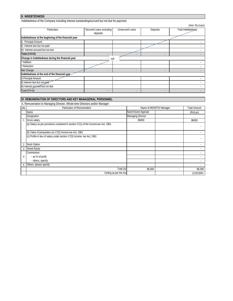## **V. INDEBTEDNESS**

Indebtedness of the Company including interest outstanding/accrued but not due for payment.

|                                                     |                         |                          |                | (Amt. Rs./Lacs)    |  |  |
|-----------------------------------------------------|-------------------------|--------------------------|----------------|--------------------|--|--|
| <b>Particulars</b>                                  | Secured Loans excluding | <b>Unsecured Loans</b>   | Deposits       | Total Indebtedness |  |  |
|                                                     | deposits                |                          |                |                    |  |  |
| Indebtedness at the beginning of the financial year |                         |                          |                |                    |  |  |
| i)<br>Principal Amount                              |                         |                          |                |                    |  |  |
| ii) Interest due but not paid                       |                         |                          |                |                    |  |  |
| iii) Interest accrued but not due                   |                         |                          |                |                    |  |  |
| Total (i+ii+iii)                                    |                         |                          | ٠              |                    |  |  |
| Change in Indebtedness during the financial year    | nil                     |                          |                |                    |  |  |
| <b>Addition</b>                                     |                         |                          |                |                    |  |  |
| * Reduction                                         |                         |                          |                |                    |  |  |
| Net Change                                          | ٠                       | $\overline{\phantom{a}}$ | $\blacksquare$ |                    |  |  |
| Indebtedness at the end of the financial year       |                         |                          |                |                    |  |  |
| i) Principal Amount                                 |                         |                          |                |                    |  |  |
| ii) Interest due but not paid                       |                         |                          |                |                    |  |  |
| iii) Interest accrued but not due                   |                         |                          |                |                    |  |  |
| Total (i+ii+iii)                                    | ٠                       |                          | ۰              |                    |  |  |

## **VI. REMUNERATION OF DIRECTORS AND KEY MANAGERIAL PERSONNEL**

A**.** Remuneration to Managing Director, Whole-time Directors and/or Manager:

| SN.            | ີ<br>Particulars of Remuneration                                                    | Name of MD/WTD/ Manager  |   | <b>Total Amount</b> |
|----------------|-------------------------------------------------------------------------------------|--------------------------|---|---------------------|
|                | Name                                                                                | Nand Kisore Agarwal      |   | (Rs/Lac)            |
|                | Designation                                                                         | <b>Managing Director</b> |   |                     |
|                | Gross salary                                                                        | 96000                    |   | 96000               |
|                | (a) Salary as per provisions contained in section 17(1) of the Income-tax Act, 1961 |                          |   |                     |
|                | (b) Value of perquisites u/s 17(2) Income-tax Act, 1961                             |                          |   |                     |
|                | (c) Profits in lieu of salary under section 17(3) Income- tax Act, 1961             |                          |   |                     |
| $\overline{2}$ | <b>Stock Option</b>                                                                 |                          |   |                     |
| 3              | <b>Sweat Equity</b>                                                                 |                          |   |                     |
|                | Commission                                                                          |                          |   |                     |
| 4              | - as % of profit                                                                    |                          |   |                     |
|                | - others, specify                                                                   |                          |   |                     |
| 5              | Others, please specify                                                              |                          |   |                     |
|                | Total (A)                                                                           | 96,000                   | ٠ | 96,000              |
|                | Ceiling as per the Act                                                              |                          |   | 12,00,000/-         |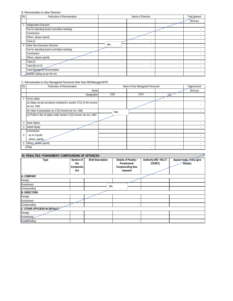#### B. Remuneration to other Directors

| SN.          | Particulars of Remuneration                |                | Name of Directors |   |          |
|--------------|--------------------------------------------|----------------|-------------------|---|----------|
|              |                                            |                |                   |   | (Rs/Lac) |
| $\mathbf{1}$ | <b>Independent Directors</b>               |                |                   |   |          |
|              | Fee for attending board committee meetings |                |                   |   |          |
|              | Commission                                 |                |                   |   |          |
|              | Others, please specify                     |                |                   |   |          |
|              | Total (1)                                  |                | ٠                 | ٠ |          |
| 2            | Other Non-Executive Directors              | <b>NIL</b>     |                   |   |          |
|              | Fee for attending board committee meetings |                |                   |   |          |
|              | Commission                                 |                |                   |   |          |
|              | Others, please specify                     |                |                   |   |          |
|              | Total (2)                                  | $\overline{a}$ | ٠                 | ٠ |          |
|              | Total $(B)=(1+2)$                          | $\overline{a}$ |                   | ٠ |          |
|              | <b>Total Managerial Remuneration</b>       |                |                   |   |          |
|              | Overall Ceiling as per the Act             |                |                   |   |          |

C. Remuneration to Key Managerial Personnel other than MD/Manager/WTD

| SN.            | Particulars of Remuneration                                                             | Name of Key Managerial Personnel |            |        | Total Amount |
|----------------|-----------------------------------------------------------------------------------------|----------------------------------|------------|--------|--------------|
|                | Name                                                                                    |                                  |            |        | (Rs/Lac)     |
|                | Designation                                                                             | CEO                              | <b>CFO</b> |        |              |
|                | Gross salary                                                                            |                                  |            |        |              |
|                | (a) Salary as per provisions contained in section 17(1) of the Income-<br>tax Act, 1961 |                                  |            |        |              |
|                | (b) Value of perquisites u/s 17(2) Income-tax Act, 1961                                 | <b>NIL</b>                       |            |        |              |
|                | (c) Profits in lieu of salary under section 17(3) Income- tax Act, 1961                 |                                  |            |        |              |
| $\overline{2}$ | <b>Stock Option</b>                                                                     |                                  |            |        |              |
| 3              | <b>Sweat Equity</b>                                                                     |                                  |            |        |              |
|                | Commission                                                                              |                                  |            |        |              |
| 4              | as % of profit                                                                          |                                  |            |        |              |
|                | others, specify                                                                         |                                  |            |        |              |
| 5              | Others, please specify                                                                  |                                  |            |        |              |
|                | Total                                                                                   | $\sim$                           |            | $\sim$ |              |

| VII. PENALTIES / PUNISHMENT/ COMPOUNDING OF OFFENCES: |                                       |                          |                                                                           |                                        |                                       |  |  |
|-------------------------------------------------------|---------------------------------------|--------------------------|---------------------------------------------------------------------------|----------------------------------------|---------------------------------------|--|--|
| <b>Type</b>                                           | Section of<br>the<br>Companies<br>Act | <b>Brief Description</b> | Details of Penalty /<br>Punishment/<br><b>Compounding fees</b><br>imposed | Authority [RD / NCLT/<br><b>COURTI</b> | Appeal made, if any (give<br>Details) |  |  |
| A. COMPANY                                            |                                       |                          |                                                                           |                                        |                                       |  |  |
| Penalty                                               |                                       |                          |                                                                           |                                        |                                       |  |  |
| Punishment                                            |                                       | <b>NIL</b>               |                                                                           |                                        |                                       |  |  |
| Compounding                                           |                                       |                          |                                                                           |                                        |                                       |  |  |
| <b>B. DIRECTORS</b>                                   |                                       |                          |                                                                           |                                        |                                       |  |  |
| Penalty                                               |                                       |                          |                                                                           |                                        |                                       |  |  |
| Punishment                                            |                                       |                          |                                                                           |                                        |                                       |  |  |
| Compounding                                           |                                       |                          |                                                                           |                                        |                                       |  |  |
| C. OTHER OFFICERS IN DEFAULT                          |                                       |                          |                                                                           |                                        |                                       |  |  |
| Penalty                                               |                                       |                          |                                                                           |                                        |                                       |  |  |
| Punishment                                            |                                       |                          |                                                                           |                                        |                                       |  |  |
| Compounding                                           |                                       |                          |                                                                           |                                        |                                       |  |  |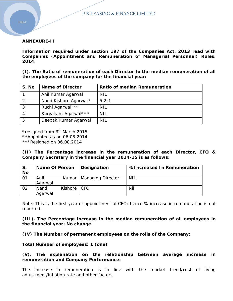#### **ANNEXURE-II**

**Information required under section 197 of the Companies Act, 2013 read with Companies (Appointment and Remuneration of Managerial Personnel) Rules, 2014.** 

**(I). The Ratio of remuneration of each Director to the median remuneration of all the employees of the company for the financial year:** 

| S. No | <b>Name of Director</b> | <b>Ratio of median Remuneration</b> |
|-------|-------------------------|-------------------------------------|
|       | Anil Kumar Agarwal      | <b>NIL</b>                          |
| 2     | Nand Kishore Agarwal*   | 5.2:1                               |
| 3     | Ruchi Agarwal  **       | NIL                                 |
| 4     | Suryakant Agarwal***    | <b>NIL</b>                          |
| -5    | Deepak Kumar Agarwal    | <b>NIL</b>                          |

\*resigned from 3rd March 2015

\*\*Appointed as on 06.08.2014

\*\*\*Resigned on 06.08.2014

**(II) The Percentage increase in the remuneration of each Director, CFO & Company Secretary in the financial year 2014-15 is as follows**:

| IS.<br><b>No</b> | <b>Name Of Person</b> |         | Designation              | %Increased In Remuneration |
|------------------|-----------------------|---------|--------------------------|----------------------------|
| l 01             | Anil                  | Kumar   | <b>Managing Director</b> | NIL                        |
|                  | Agarwal               |         |                          |                            |
| $\overline{02}$  | Nand                  | Kishore | CFO                      | Nil                        |
|                  | Agarwal               |         |                          |                            |

Note: This is the first year of appointment of CFO; hence % increase in remuneration is not reported.

#### **(III). The Percentage increase in the median remuneration of all employees in the financial year: No change**

**(IV) The Number of permanent employees on the rolls of the Company:** 

**Total Number of employees: 1 (one)** 

#### **(V). The explanation on the relationship between average increase in remuneration and Company Performance:**

The increase in remuneration is in line with the market trend/cost of living adjustment/inflation rate and other factors.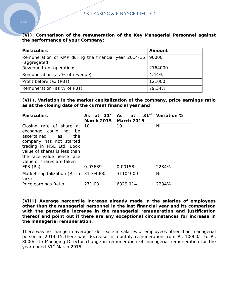**(VI). Comparison of the remuneration of the Key Managerial Personnel against the performance of your Company:** 

| <b>Particulars</b>                                                    | Amount  |
|-----------------------------------------------------------------------|---------|
| Remuneration of KMP during the financial year 2014-15<br>(aggregated) | 96000   |
| Revenue from operations                                               | 2164000 |
| Remuneration (as % of revenue)                                        | 4.44%   |
| Profit before tax (PBT)                                               | 121000  |
| Remuneration (as % of PBT)                                            | 79.34%  |

**(VII). Variation in the market capitalization of the company, price earnings ratio as at the closing date of the current financial year and** 

| <b>Particulars</b>                                                                                                                                                                                                                   | As at $31^{st}$         | $31^{st}$<br>As<br>at | Variation % |
|--------------------------------------------------------------------------------------------------------------------------------------------------------------------------------------------------------------------------------------|-------------------------|-----------------------|-------------|
|                                                                                                                                                                                                                                      | March 2015   March 2015 |                       |             |
| Closing rate of share at $10$<br>exchange could not<br>be<br>ascertained as<br>the.<br>company has not started<br>trading in MSE Ltd. Book<br>value of shares is less than<br>the face value hence face<br>value of shares are taken |                         | 10                    | Nil         |
| EPS (Rs)                                                                                                                                                                                                                             | 0.03689                 | 0.00158               | 2234%       |
| Market capitalization (Rs in<br>lacs)                                                                                                                                                                                                | 31104000                | 31104000              | Nil         |
| Price earnings Ratio                                                                                                                                                                                                                 | 271.08                  | 6329.114              | 2234%       |

**(VIII) Average percentile increase already made in the salaries of employees other than the managerial personnel in the last financial year and its comparison with the percentile increase in the managerial remuneration and justification thereof and point out if there are any exceptional circumstances for increase in the managerial remuneration.** 

There was no change in averages decrease in salaries of employees other than managerial person in 2014-15.There was decrease in monthly remuneration from Rs 10000/- to Rs 8000/- to Managing Director change in remuneration of managerial remuneration for the year ended 31<sup>st</sup> March 2015.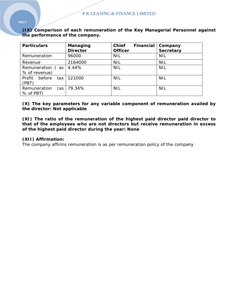## **(IX) Comparison of each remuneration of the Key Managerial Personnel against the performance of the company.**

| <b>Particulars</b>                | Managing<br><b>Director</b> | <b>Chief</b><br><b>Financial</b><br><b>Officer</b> | Company<br><b>Secretary</b> |
|-----------------------------------|-----------------------------|----------------------------------------------------|-----------------------------|
| Remuneration                      | 96000                       | <b>NIL</b>                                         | <b>NIL</b>                  |
| Revenue                           | 2164000                     | <b>NIL</b>                                         | <b>NIL</b>                  |
| Remuneration (as<br>% of revenue) | 4.44%                       | <b>NIL</b>                                         | <b>NIL</b>                  |
| before<br>Profit<br>tax<br>(PBT)  | 121000                      | <b>NIL</b>                                         | <b>NIL</b>                  |
| Remuneration<br>(as<br>% of PBT)  | 79.34%                      | <b>NIL</b>                                         | <b>NIL</b>                  |

#### **(X) The key parameters for any variable component of remuneration availed by the director: Not applicable**

**(XI) The ratio of the remuneration of the highest paid director paid director to that of the employees who are not directors but receive remuneration in excess of the highest paid director during the year: None** 

#### **(XII) Affirmation:**

The company affirms remuneration is as per remuneration policy of the company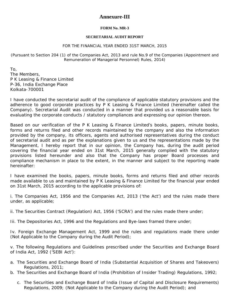## **Annexure-III**

#### **FORM No. MR-3**

#### **SECRETARIAL AUDIT REPORT**

#### FOR THE FINANCIAL YEAR ENDED 31ST MARCH, 2015

(Pursuant to Section 204 (1) of the Companies Act, 2013 and rule No.9 of the Companies (Appointment and Remuneration of Managerial Personnel) Rules, 2014)

To, The Members, P K Leasing & Finance Limited P-36, India Exchange Place Kolkata-700001

I have conducted the secretarial audit of the compliance of applicable statutory provisions and the adherence to good corporate practices by P K Leasing & Finance Limited (hereinafter called the Company). Secretarial Audit was conducted in a manner that provided us a reasonable basis for evaluating the corporate conducts / statutory compliances and expressing our opinion thereon.

Based on our verification of the P K Leasing & Finance Limited's books, papers, minute books, forms and returns filed and other records maintained by the company and also the information provided by the company, its officers, agents and authorised representatives during the conduct of secretarial audit and as per the explanations given to us and the representations made by the Management, I hereby report that in our opinion, the Company has, during the audit period covering the financial year ended on 31st March, 2015 generally complied with the statutory provisions listed hereunder and also that the Company has proper Board processes and compliance mechanism in place to the extent, in the manner and subject to the reporting made hereinafter:

I have examined the books, papers, minute books, forms and returns filed and other records made available to us and maintained by P K Leasing & Finance Limited for the financial year ended on 31st March, 2015 according to the applicable provisions of:

i. The Companies Act, 1956 and the Companies Act, 2013 ('the Act') and the rules made there under, as applicable;

- ii. The Securities Contract (Regulation) Act, 1956 ('SCRA') and the rules made there under;
- Iii. The Depositories Act, 1996 and the Regulations and Bye-laws framed there under;

Iv. Foreign Exchange Management Act, 1999 and the rules and regulations made there under (Not Applicable to the Company during the Audit Period);

v. The following Regulations and Guidelines prescribed under the Securities and Exchange Board of India Act, 1992 ('SEBI Act'):

- a. The Securities and Exchange Board of India (Substantial Acquisition of Shares and Takeovers) Regulations, 2011;
- b. The Securities and Exchange Board of India (Prohibition of Insider Trading) Regulations, 1992;
	- c. The Securities and Exchange Board of India (Issue of Capital and Disclosure Requirements) Regulations, 2009; (Not Applicable to the Company during the Audit Period); and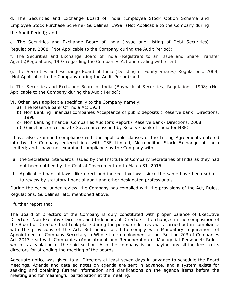d. The Securities and Exchange Board of India (Employee Stock Option Scheme and Employee Stock Purchase Scheme) Guidelines, 1999; (Not Applicable to the Company during the Audit Period); and

e. The Securities and Exchange Board of India (Issue and Listing of Debt Securities) Regulations, 2008. (Not Applicable to the Company during the Audit Period);

f. The Securities and Exchange Board of India (Registrars to an Issue and Share Transfer Agents)Regulations, 1993 regarding the Companies Act and dealing with client;

g. The Securities and Exchange Board of India (Delisting of Equity Shares) Regulations, 2009; (Not Applicable to the Company during the Audit Period);and

h. The Securities and Exchange Board of India (Buyback of Securities) Regulations, 1998; (Not Applicable to the Company during the Audit Period);

VI. Other laws applicable specifically to the Company namely:

- a) The Reserve bank Of India Act 1934
- b) Non Banking Financial companies Acceptance of public deposits ( Reserve bank) Directions, 1998
- c) Non Banking financial Companies Auditor's Report ( Reserve Bank) Directions, 2008
- d) Guidelines on corporate Governance issued by Reserve bank of India for NBFC

I have also examined compliance with the applicable clauses of the Listing Agreements entered into by the Company entered into with CSE Limited, Metropolitan Stock Exchange of India Limited; and I have not examined compliance by the Company with

- a. the Secretarial Standards issued by the Institute of Company Secretaries of India as they had not been notified by the Central Government up to March 31, 2015.
- b. Applicable financial laws, like direct and indirect tax laws, since the same have been subject to review by statutory financial audit and other designated professionals.

During the period under review, the Company has complied with the provisions of the Act, Rules, Regulations, Guidelines, etc. mentioned above.

I further report that:

The Board of Directors of the Company is duly constituted with proper balance of Executive Directors, Non-Executive Directors and Independent Directors. The changes in the composition of the Board of Directors that took place during the period under review is carried out in compliance with the provisions of the Act. *But board failed to comply with Mandatory requirement of Appointment of Company Secretary in Whole time employment as per Section 203 of Companies Act 2013 read with Companies (Appointment and Remuneration of Managerial Personnel) Rules, which is a violation of the said section. Also the company is not paying any sitting fees to its directors for attending the meeting of the boards*.

Adequate notice was given to all Directors at least seven days in advance to schedule the Board Meetings. Agenda and detailed notes on agenda are sent in advance, and a system exists for seeking and obtaining further information and clarifications on the agenda items before the meeting and for meaningful participation at the meeting.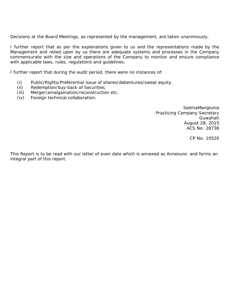Decisions at the Board Meetings, as represented by the management, are taken unanimously.

I further report that as per the explanations given to us and the representations made by the Management and relied upon by us there are adequate systems and processes in the Company commensurate with the size and operations of the Company to monitor and ensure compliance with applicable laws, rules, regulations and guidelines.

I further report that during the audit period, there were no instances of:

- (i) Public/Rights/Preferential issue of shares/debentures/sweat equity.
- (ii) Redemption/buy-back of Securities.
- (iii) Merger/amalgamation/reconstruction etc.
- (iv) Foreign technical collaboration.

SeemaManglunia Practicing Company Secretary Guwahati August 28, 2015 ACS No: 28738

CP No: 10520

This Report is to be read with our letter of even date which is annexed as Annexure and forms an integral part of this report.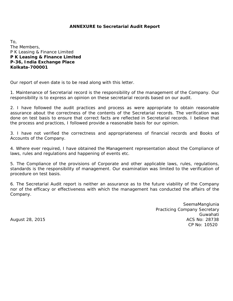#### **ANNEXURE to Secretarial Audit Report**

To, The Members, P K Leasing & Finance Limited **P K Leasing & Finance Limited P-36, India Exchange Place Kolkata-700001** 

Our report of even date is to be read along with this letter.

1. Maintenance of Secretarial record is the responsibility of the management of the Company. Our responsibility is to express an opinion on these secretarial records based on our audit.

2. I have followed the audit practices and process as were appropriate to obtain reasonable assurance about the correctness of the contents of the Secretarial records. The verification was done on test basis to ensure that correct facts are reflected in Secretarial records. I believe that the process and practices, I followed provide a reasonable basis for our opinion.

3. I have not verified the correctness and appropriateness of financial records and Books of Accounts of the Company.

4. Where ever required, I have obtained the Management representation about the Compliance of laws, rules and regulations and happening of events etc.

5. The Compliance of the provisions of Corporate and other applicable laws, rules, regulations, standards is the responsibility of management. Our examination was limited to the verification of procedure on test basis.

6. The Secretarial Audit report is neither an assurance as to the future viability of the Company nor of the efficacy or effectiveness with which the management has conducted the affairs of the Company.

SeemaManglunia Practicing Company Secretary Guwahati August 28, 2015 **August 28, 2015 ACS No: 28738** CP No: 10520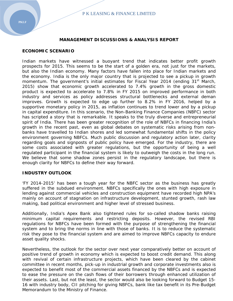#### **MANAGEMENT DISCUSSIONS & ANALYSIS REPORT**

#### **ECONOMIC SCENARIO**

Indian markets have witnessed a buoyant trend that indicates better profit growth prospects for 2015. This seems to be the start of a golden era, not just for the markets, but also the Indian economy. Many factors have fallen into place for Indian markets and the economy. India is the only major country that is projected to see a pickup in growth momentum. The government's initial estimates for Fiscal Year 2014 (ending 31<sup>st</sup> March, 2015) show that economic growth accelerated to 7.4% growth in the gross domestic product is expected to accelerate to 7.8% in FY 2015 on improved performance in both industry and services as policy addresses structural bottlenecks and external deman improves. Growth is expected to edge up further to 8.2% in FY 2016, helped by a supportive monetary policy in 2015, as inflation continues to trend lower and by a pickup in capital expenditure. In this scenario, the Non-Banking Finance Companies (NBFC) sector has scripted a story that is remarkable. It speaks to the truly diverse and entrepreneurial spirit of India. There has been greater recognition of the role of NBFCs in financing India's growth in the recent past, even as global debates on systematic risks arising from nonbanks have travelled to Indian shores and led somewhat fundamental shifts in the policy environment governing NBFCs. Much public discussion and regulatory action later, clarity regarding goals and signposts of public policy have emerged. For the industry, there are some costs associated with greater regulations, but the opportunity of being a well regulated participant in the financial system is likely to outweigh the costs in the long run. We believe that some shadow zones persist in the regulatory landscape, but there is enough clarity for NBFCs to define their way forward.

#### **INDUSTRY OUTLOOK**

'FY 2014-2015' has been a tough year for the NBFC sector as the business has greatly suffered in the subdued environment. NBFCs specifically the ones with high exposure in lending against commercial vehicles and construction equipment have recorded high NPA's mainly on account of stagnation on infrastructure development, stunted growth, rash law making, bad political environment and higher level of stressed business.

Additionally, India's Apex Bank also tightened rules for so-called shadow banks raising minimum capital requirements and restricting deposits. However, the revised RBI regulations for NBFCs have been formed with the purpose of strengthening the financial system and to bring the norms in line with those of banks. It is to reduce the systematic risk they pose to the financial system and are aimed to improve NBFCs capacity to endure asset quality shocks.

Nevertheless, the outlook for the sector over next year comparatively better on account of positive trend of growth in economy which is expected to boost credit demand. This along with revival of certain infrastructure projects, which have been cleared by the cabinet committee in recent months, pick-up in industrial growth and corporate investments also is expected to benefit most of the commercial assets financed by the NBFCs and is expected to ease the pressure on the cash flows of their borrowers through enhanced utilization of their assets. Last, but not the least, the sector would also be looking forward to Budget 15- 16 with industry body, CII pitching for giving NBFCs, bank like tax benefit in its Pre-Budget Memorandum to the Ministry of Finance.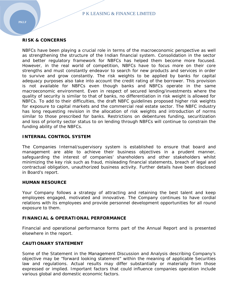#### **RISK & CONCERNS**

NBFCs have been playing a crucial role in terms of the macroeconomic perspective as well as strengthening the structure of the Indian financial system. Consolidation in the sector and better regulatory framework for NBFCs has helped them become more focused. However, in the real world of competition, NBFCs have to focus more on their core strengths and must constantly endeavor to search for new products and services in order to survive and grow constantly. The risk weights to be applied by banks for capital adequacy purposes also take into account the credit rating of the borrower. This provision is not available for NBFCs even though banks and NBFCs operate in the same macroeconomic environment. Even in respect of secured lending/investments where the quality of security is similar to that of banks, no differentiation in risk weight is allowed for NBFCs. To add to their difficulties, the draft NBFC guidelines proposed higher risk weights for exposure to capital markets and the commercial real estate sector. The NBFC industry has long requesting revision in the allocation of risk weights and introduction of norms similar to those prescribed for banks. Restrictions on debentures funding, securitization and loss of priority sector status to on lending through NBFCs will continue to constrain the funding ability of the NBFCs.

#### **INTERNAL CONTROL SYSTEM**

The Companies Internal/supervisory system is established to ensure that board and management are able to achieve their business objectives in a prudent manner, safeguarding the interest of companies' shareholders and other stakeholders whilst minimizing the key risk such as fraud, misleading financial statements, breach of legal and contractual obligation, unauthorized business activity. Further details have been disclosed in Board's report.

#### **HUMAN RESOURCE**

Your Company follows a strategy of attracting and retaining the best talent and keep employees engaged, motivated and innovative. The Company continues to have cordial relations with its employees and provide personnel development opportunities for all round exposure to them.

#### **FINANCIAL & OPERATIONAL PERFORMANCE**

Financial and operational performance forms part of the Annual Report and is presented elsewhere in the report.

#### **CAUTIONARY STATEMENT**

*Some of the Statement in the Management Discussion and Analysis describing Company's objective may be "forward looking statement" within the meaning of applicable Securities*  law and regulations. Actual results may differ substantially or materially from those *expressed or implied. Important factors that could influence companies operation include various global and domestic economic factors.*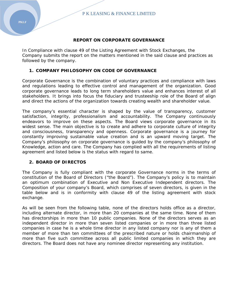#### **REPORT ON CORPORATE GOVERNANCE**

In Compliance with clause 49 of the Listing Agreement with Stock Exchanges, the Company submits the report on the matters mentioned in the said clause and practices as followed by the company.

#### **1. COMPANY PHILOSOPHY ON CODE OF GOVERNANCE**

Corporate Governance is the combination of voluntary practices and compliance with laws and regulations leading to effective control and management of the organization. Good corporate governance leads to long term shareholders value and enhances interest of all stakeholders. It brings into focus the fiduciary and trusteeship role of the Board of align and direct the actions of the organization towards creating wealth and shareholder value.

The company's essential character is shaped by the value of transparency, customer satisfaction, integrity, professionalism and accountability. The Company continuously endeavors to improve on these aspects. The Board views corporate governance in its widest sense. The main objective is to create and adhere to corporate culture of integrity and consciousness, transparency and openness. Corporate governance is a journey for constantly improving sustainable value creation and is an upward moving target. The Company's philosophy on corporate governance is guided by the company's philosophy of Knowledge, action and care. The Company has complied with all the requirements of listing agreement and listed below is the status with regard to same.

#### **2. BOARD OF DIRECTOS**

The Company is fully compliant with the corporate Governance norms in the terms of constitution of the Board of Directors ("the Board"). The Company's policy is to maintain an optimum combination of Executive and Non Executive Independent directors. The Composition of your company's Board, which comprises of seven directors, is given in the table below and is in conformity with clause 49 of the listing agreement with stock exchange.

As will be seen from the following table, none of the directors holds office as a director, including alternate director, in more than 20 companies at the same time. None of them has directorships in more than 10 public companies. None of the directors serves as an independent director in more than seven listed companies or in more than three listed companies in case he is a whole time director in any listed company nor is any of them a member of more than ten committees of the prescribed nature or holds chairmanship of more than five such committee across all public limited companies in which they are directors. The Board does not have any nominee director representing any institution.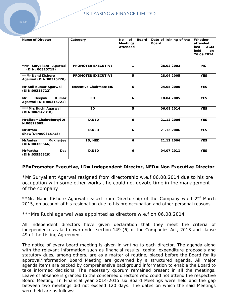| <b>Name of Director</b>                         | Category                  | of<br><b>Board</b><br><b>No</b><br><b>Meetings</b><br><b>Attended</b> | Date of Joining of the<br><b>Board</b> | Whether<br>attended<br><b>AGM</b><br>last<br>held<br>on<br>26.09.2014 |
|-------------------------------------------------|---------------------------|-----------------------------------------------------------------------|----------------------------------------|-----------------------------------------------------------------------|
| *Mr Suryakant Agarwal<br>(DIN: 00315719)        | <b>PROMOTER EXECUTIVE</b> | 1                                                                     | 28.02.2003                             | <b>NO</b>                                                             |
| **Mr Nand Kishore<br>Agarwal (DIN:00315720)     | <b>PROMOTER EXECUTIVE</b> | 5                                                                     | 28.04.2005                             | <b>YES</b>                                                            |
| Mr Anil Kumar Agarwal<br>(DIN:00315722)         | Executive Chairman/MD     | 6                                                                     | 24.05.2000                             | <b>YES</b>                                                            |
| Deepak<br>Kumar<br>Mr<br>Agarwal (DIN:00315721) | <b>ED</b>                 | 6                                                                     | 18.04.2005                             | <b>YES</b>                                                            |
| ***Mrs Ruchi Agarwal<br>(DIN:006942318)         | <b>ED</b>                 | 5                                                                     | 06.08.2014                             | <b>YES</b>                                                            |
| MrBikramChakroborty(DI<br>N:00822069)           | <b>ID, NED</b>            | 6                                                                     | 21.12.2006                             | <b>YES</b>                                                            |
| <b>MrUttam</b><br>Shaw(DIN:00315718)            | <b>ID, NED</b>            | 6                                                                     | 21.12.2006                             | <b>YES</b>                                                            |
| <b>Mukherjee</b><br>MrAmiya<br>(DIN:00326546)   | ID, NED                   | 6                                                                     | 21.12.2006                             | <b>YES</b>                                                            |
| <b>MrPartha</b><br><b>Das</b><br>(DIN:03556329) | <b>ID, NED</b>            | 6                                                                     | 04.07.2011                             | <b>YES</b>                                                            |

## *PE=Promoter Executive, ID= Independent Director, NED= Non Executive Director*

\*Mr Suryakant Agarwal resigned from directorship w.e.f 06.08.2014 due to his pre occupation with some other works , he could not devote time in the management of the company

\*\*Mr. Nand Kishore Agarwal ceased from Directorship of the Company w.e.f 2<sup>nd</sup> March 2015, on account of his resignation due to his pre occupation and other personal reasons.

\*\*\*Mrs Ruchi agarwal was appointed as directors w.e.f on 06.08.2014

All independent directors have given declaration that they meet the criteria of independence as laid down under section 149 (6) of the Companies Act, 2013 and clause 49 of the Listing Agreement.

The notice of every board meeting is given in writing to each director. The agenda along with the relevant information such as financial results, capital expenditure proposals and statutory dues, among others, are as a matter of routine, placed before the Board for its approval/information Board Meeting are governed by a structured agenda. All major agenda items are backed by comprehensive background information to enable the Board to take informed decisions. The necessary quorum remained present in all the meetings. Leave of absence is granted to the concerned directors who could not attend the respective Board Meeting. In Financial year 2014-2015 six Board Meetings were held and the gap between two meetings did not exceed 120 days. The dates on which the said Meetings were held are as follows: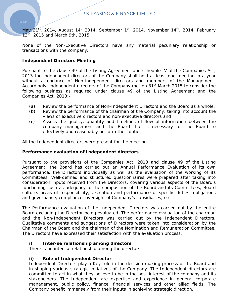May  $31<sup>st</sup>$ , 2014, August 14<sup>th</sup> 2014, September 1<sup>st</sup> 2014, November 14<sup>th</sup>, 2014, February  $13<sup>th</sup>$ , 2015 and March 9th, 2015

None of the Non-Executive Directors have any material pecuniary relationship or transactions with the company.

## **Independent Directors Meeting**

Pursuant to the clause 49 of the Listing Agreement and schedule IV of the Companies Act, 2013 the independent directors of the Company shall hold at least one meeting in a year without attendance of Non-independent directors and members of the Management. Accordingly, independent directors of the Company met on 31<sup>st</sup> March 2015 to consider the following business as required under clause 49 of the Listing Agreement and the Companies Act, 2013:-

- (a) Review the performance of Non-Independent Directors and the Board as a whole:
- (b) Review the performance of the chairman of the Company, taking into account the views of executive directors and non-executive directors and :
- (c) Assess the quality, quantity and timelines of flow of information between the company management and the Board that is necessary for the Board to effectively and reasonably perform their duties.

All the Independent directors were present for the meeting.

### **Performance evaluation of Independent directors**

Pursuant to the provisions of the Companies Act, 2013 and clause 49 of the Listing Agreement, the Board has carried out an Annual Performance Evaluation of its own performance, the Directors individually as well as the evaluation of the working of its Committees. Well-defined and structured questionnaires were prepared after taking into consideration inputs received from the Directors, covering various aspects of the Board's functioning such as adequacy of the composition of the Board and its Committees, Board culture, areas of responsibility, execution and performance of specific duties, obligations and governance, compliance, oversight of Company's subsidiaries, etc.

The Performance evaluation of the Independent Directors was carried out by the entire Board excluding the Director being evaluated. The performance evaluation of the chairman and the Non-Independent Directors was carried out by the Independent Directors. Qualitative comments and suggestions of Directors were taken into consideration by the Chairman of the Board and the chairman of the Nomination and Remuneration Committee. The Directors have expressed their satisfaction with the evaluation process.

### **i) Inter-se relationship among directors**

There is no inter-se relationship among the directors.

### **ii) Role of Independent Director**

Independent Directors play a Key role in the decision making process of the Board and in shaping various strategic initiatives of the Company. The Independent directors are committed to act in what they believe to be in the best interest of the company and its stakeholders. The Independent are expertise and experience in general corporate management, public policy, finance, financial services and other allied fields. The Company benefit immensely from their inputs in achieving strategic direction.

### **PKLF**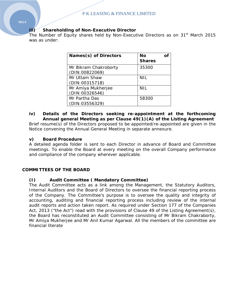## **iii) Shareholding of Non-Executive Director**

The Number of Equity shares held by Non-Executive Directors as on 31<sup>st</sup> March 2015 was as under:

| Names(s) of Directors                   | Nο<br><b>Shares</b> |  |
|-----------------------------------------|---------------------|--|
| Mr Bikram Chakroborty<br>(DIN:00822069) | 35300               |  |
| Mr Uttam Shaw<br>(DIN:00315718)         | <b>NIL</b>          |  |
| Mr Amiya Mukherjee<br>(DIN:00326546)    | <b>NIL</b>          |  |
| Mr Partha Das<br>(DIN: 03556329)        | 58300               |  |

### **iv) Details of the Directors seeking re-appointment at the forthcoming Annual general Meeting as per Clause 49(1)(A) of the Listing Agreement**  Brief resume(s) of the Directors proposed to be appointed/re-appointed are given in the

Notice convening the Annual General Meeting in separate annexure.

### **v) Board Procedure**

A detailed agenda folder is sent to each Director in advance of Board and Committee meetings. To enable the Board at every meeting on the overall Company performance and compliance of the company wherever applicable.

### **COMMITTEES OF THE BOARD**

## **(I) Audit Committee ( Mandatory Committee)**

The Audit Committee acts as a link among the Management, the Statutory Auditors, Internal Auditors and the Board of Directors to oversee the financial reporting process of the Company. The Committee's purpose is to oversee the quality and integrity of accounting, auditing and financial reporting process including review of the internal audit reports and action taken report. As required under Section 177 of the Companies Act, 2013 ("the Act") read with the provisions of Clause 49 of the Listing Agreement(s), the Board has reconstituted an Audit Committee consisting of Mr Bikram Chakraborty, Mr Amiya Mukherjee and Mr Anil Kumar Agarwal. All the members of the committee are financial literate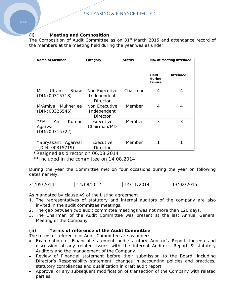## **(i) Meeting and Composition**

The Composition of Audit Committee as on 31<sup>st</sup> March 2015 and attendance record of the members at the meeting held during the year was as under:

| Name of Member                                   | Category                                 | <b>Status</b> | No. of Meeting attended  |                 |
|--------------------------------------------------|------------------------------------------|---------------|--------------------------|-----------------|
|                                                  |                                          |               | Held<br>during<br>tenure | <b>Attended</b> |
| Mr<br>Shaw<br>Uttam<br>(DIN:00315718)            | Non Executive<br>Independent<br>Director | Chairman      | 4                        | 4               |
| Mukherjee<br>MrAmiya<br>(DIN: 00326546)          | Non Executive<br>Independent<br>Director | Member        | 4                        | 4               |
| **Mr Anil<br>Kumar<br>Agarwal<br>(DIN: 00315722) | Executive<br>Chairman/MD                 | Member        | 3                        | 3               |
| *Suryakant Agarwal<br>(DIN: 00315719)            | Executive<br>Director                    | Member        | 1                        | 1               |

\*Resigned as director on 06.08.2014

\*\*Included in the committee on 14.08.2014

During the year the Committee met on four occasions during the year on following dates namely:

| 31/05/2014 | 14/08/2014 | 14/11/2014 | 13/02/2015 |
|------------|------------|------------|------------|
|------------|------------|------------|------------|

As mandated by clause 49 of the Listing agreement

- 1. The representatives of statutory and internal auditors of the company are also invited in the audit committee meetings.
- 2. The gap between two audit committee meetings was not more than 120 days.
- 3. The Chairman of the Audit Committee was present at the last Annual General Meeting of the Company.

## **(ii) Terms of reference of the Audit Committee**

The terms of reference of Audit Committee are as under:

- Examination of Financial statement and statutory Auditor's Report thereon and discussion of any related issues with the internal Auditor's Report & statutory Auditors and the management of the Company.
- Review of Financial statement before their submission to the Board, including Director's Responsibility statement, changes in accounting policies and practices, statutory compliances and qualification in draft audit report.
- Approval or any subsequent modification of transaction of the Company with related parties.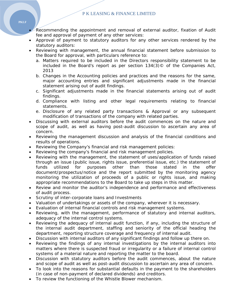### P K LEASING & FINANCE LIMITED

- Recommending the appointment and removal of external auditor, fixation of Audit fee and approval of payment of any other services:
- Approval of payment to statutory auditors for any other services rendered by the statutory auditors:
- Reviewing with management, the annual financial statement before submission to the Board for approval, with particulars reference to:
	- a. Matters required to be included in the Directors responsibility statement to be included in the Board's report as per section 134(3)© of the Companies Act, 2013
	- b. Changes in the Accounting policies and practices and the reasons for the same, major accounting entries and significant adjustments made in the financial statement arising out of audit findings.
	- c. Significant adjustments made in the financial statements arising out of audit findings.
	- d. Compliance with listing and other legal requirements relating to financial statements.
	- e. Disclosure of any related party transactions & Approval or any subsequent modification of transactions of the company with related parties.
- Discussing with external auditors before the audit commences on the nature and scope of audit, as well as having post-audit discussion to ascertain any area of concern.
- Reviewing the management discussion and analysis of the financial conditions and results of operations.
- Reviewing the Company's financial and risk management policies:
- Reviewing the company's financial and risk management policies.
- Reviewing with the management, the statement of uses/application of funds raised through an issue (public issue, rights issue, preferential issue, etc.) the statement of funds utilized for purposes other than those stated in the offer document/prospectus/notice and the report submitted by the monitoring agency monitoring the utilization of proceeds of a public or rights issue, and making appropriate recommendations to the Board to take up steps in this matter.
- Review and monitor the auditor's independence and performance and effectiveness of audit process.
- Scrutiny of inter-corporate loans and Investments
- Valuation of undertakings or assets of the company, wherever it is necessary.
- Evaluation of internal financial controls and risk management systems.
- Reviewing, with the management, performance of statutory and internal auditors, adequacy of the internal control systems.
- Reviewing the adequacy of internal audit function, if any, including the structure of the internal audit department, staffing and seniority of the official heading the department, reporting structure coverage and frequency of internal audit.
- Discussion with internal auditors of any significant findings and follow up there on.
- Reviewing the findings of any internal investigations by the internal auditors into matters where there is suspected fraud or irregularity or a failure of internal control systems of a material nature and reporting the matter to the board.
- Discussion with statutory auditors before the audit commences, about the nature and scope of audit as well as post-audit discussion to ascertain any area of concern.
- To look into the reasons for substantial defaults in the payment to the shareholders (in case of non-payment of declared dividends) and creditors.
- To review the functioning of the Whistle Blower mechanism.

**PKLF**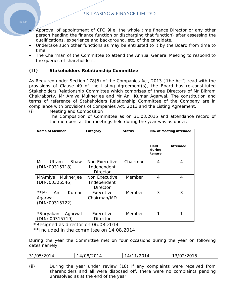P K LEASING & FINANCE LIMITED

- Approval of appointment of CFO 9i.e. the whole time finance Director or any other person heading the finance function or discharging that function) after assessing the qualifications, experience and background, etc. of the candidate.
- Undertake such other functions as may be entrusted to it by the Board from time to time.
- The Chairman of the Committee to attend the Annual General Meeting to respond to the queries of shareholders.

## **(II) Stakeholders Relationship Committee**

As Required under Section 178(5) of the Companies Act, 2013 ("the Act") read with the provisions of Clause 49 of the Listing Agreement(s), the Board has re-constituted Stakeholders Relationship Committee which comprises of three Directors of Mr Bikram Chakraborty, Mr Amiya Mukherjee and Mr Anil Kumar Agarwal. The constitution and terms of reference of Stakeholders Relationship Committee of the Company are in compliance with provisions of Companies Act, 2013 and the Listing Agreement.

(i) Meeting and Composition

The Composition of Committee as on 31.03.2015 and attendance record of the members at the meetings held during the year was as under:

| Name of Member                                   | Category                                 | <b>Status</b> | No. of Meeting attended  |          |
|--------------------------------------------------|------------------------------------------|---------------|--------------------------|----------|
|                                                  |                                          |               | Held<br>during<br>tenure | Attended |
| Mr<br>Shaw<br>Uttam<br>(DIN:00315718)            | Non Executive<br>Independent<br>Director | Chairman      | 4                        | 4        |
| MrAmiya<br>Mukherjee<br>(DIN: 00326546)          | Non Executive<br>Independent<br>Director | Member        | 4                        | 4        |
| **Mr Anil<br>Kumar<br>Agarwal<br>(DIN: 00315722) | Executive<br>Chairman/MD                 | Member        | 3                        | 3        |
| *Suryakant Agarwal<br>(DIN: 00315719)            | Executive<br>Director                    | Member        | 1                        | 1        |

\*Resigned as director on 06.08.2014

\*\*Included in the committee on 14.08.2014

During the year the Committee met on four occasions during the year on following dates namely:

| 31/05/2014 | 14/08/2014 | 14/11/2014 | 13/02/2015 |
|------------|------------|------------|------------|
|            |            |            |            |

(ii) During the year under review (18) if any complaints were received from shareholders and all were disposed off, there were no complaints pending unresolved as at the end of the year.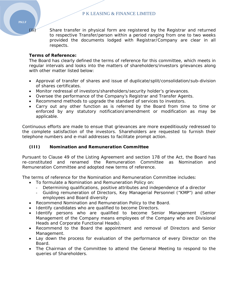(iii) Share transfer in physical form are registered by the Registrar and returned

to respective Transfer/person within a period ranging from one to two weeks provided the documents lodged with Registrar/Company are clear in all

## **Terms of Reference:**

respects.

The Board has clearly defined the terms of reference for this committee, which meets in regular intervals and looks into the matters of shareholders/investors grievances along with other matter listed below:

- Approval of transfer of shares and issue of duplicate/split/consolidation/sub-division of shares certificates.
- Monitor redressal of investors/shareholders/security holder's grievances.
- Oversee the performance of the Company's Registrar and Transfer Agents.
- Recommend methods to upgrade the standard of services to investors.
- Carry out any other function as is referred by the Board from time to time or enforced by any statutory notification/amendment or modification as may be applicable.

Continuous efforts are made to ensue that grievances are more expeditiously redressed to the complete satisfaction of the investors. Shareholders are requested to furnish their telephone numbers and e-mail addresses to facilitate prompt action.

## **(III) Nomination and Remuneration Committee**

Pursuant to Clause 49 of the Listing Agreement and section 178 of the Act, the Board has re-constituted and renamed the Remuneration Committee as Nomination and Remuneration Committee and adopted new terms of reference.

The terms of reference for the Nomination and Remuneration Committee includes:

- To formulate a Nomination and Remuneration Policy on:
	- Determining qualifications, positive attributes and independence of a director
	- Guiding remuneration of Directors, Key Managerial Personnel ("KMP") and other employees and Board diversity
- Recommend Nomination and Remuneration Policy to the Board.
- Identify candidates who are qualified to become Directors.
- Identify persons who are qualified to become Senior Management (Senior Management of the Company means employees of the Company who are Divisional Heads and Corporate Functional Heads).
- Recommend to the Board the appointment and removal of Directors and Senior Management.
- Lay down the process for evaluation of the performance of every Director on the Board.
- The Chairman of the Committee to attend the General Meeting to respond to the queries of Shareholders.

**PKLF**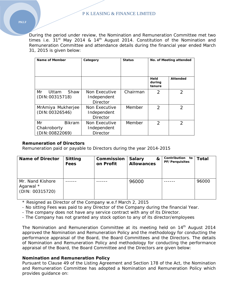During the period under review, the Nomination and Remuneration Committee met two times i.e.  $31<sup>st</sup>$  May 2014 & 14<sup>th</sup> August 2014. Constitution of the Nomination and Remuneration Committee and attendance details during the financial year ended March 31, 2015 is given below:

| Name of Member                                       | Category                                        | <b>Status</b> | No. of Meeting attended  |                |
|------------------------------------------------------|-------------------------------------------------|---------------|--------------------------|----------------|
|                                                      |                                                 |               | Held<br>during<br>tenure | Attended       |
| Mr<br>Shaw<br>Uttam<br>(DIN:00315718)                | Non Executive<br>Independent<br><b>Director</b> | Chairman      | $\mathcal{P}$            | $\mathcal{P}$  |
| MrAmiya Mukherjee<br>(DIN: 00326546)                 | Non Executive<br>Independent<br>Director        | Member        | $\overline{2}$           | $\overline{2}$ |
| Mr<br><b>Bikram</b><br>Chakroborty<br>(DIN:00822069) | Non Executive<br>Independent<br><b>Director</b> | Member        | $\mathcal{P}$            | $\mathfrak{D}$ |

### **Remuneration of Directors**

Remuneration paid or payable to Directors during the year 2014-2015

| <b>Name of Director</b>                          | <b>Sitting</b><br>Fees | Commission<br>on Profit | <b>Salary</b><br>&<br><b>Allowances</b> | Contribution to<br><b>PF/Perquisites</b> | <b>Total</b> |
|--------------------------------------------------|------------------------|-------------------------|-----------------------------------------|------------------------------------------|--------------|
| Mr. Nand Kishore<br>Agarwal *<br>(DIN: 00315720) |                        |                         | 96000                                   |                                          | 96000        |

\* Resigned as Director of the Company w.e.f March 2, 2015

- No sitting Fees was paid to any Director of the Company during the financial Year.

- The company does not have any service contract with any of its Director.

- The Company has not granted any stock option to any of its director/employees

The Nomination and Remuneration Committee at its meeting held on 14<sup>th</sup> August 2014 approved the Nomination and Remuneration Policy and the methodology for conducting the performance appraisal of the Board, the Board Committees and the Directors. The details of Nomination and Remuneration Policy and methodology for conducting the performance appraisal of the Board, the Board Committee and the Directors are given below:

### **Nomination and Remuneration Policy**

Pursuant to Clause 49 of the Listing Agreement and Section 178 of the Act, the Nomination and Remuneration Committee has adopted a Nomination and Remuneration Policy which provides guidance on: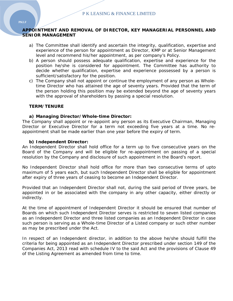## **APPOINTMENT AND REMOVAL OF DIRECTOR, KEY MANAGERIAL PERSONNEL AND SENIOR MANAGEMENT**

- a) The Committee shall identify and ascertain the integrity, qualification, expertise and experience of the person for appointment as Director, KMP or at Senior Management level and recommend his/her appointment, as per company's Policy.
- b) A person should possess adequate qualification, expertise and experience for the position he/she is considered for appointment. The Committee has authority to decide whether qualification, expertise and experience possessed by a person is sufficient/satisfactory for the position.
- c) The Company shall not appoint or continue the employment of any person as Wholetime Director who has attained the age of seventy years. Provided that the term of the person holding this position may be extended beyond the age of seventy years with the approval of shareholders by passing a special resolution.

### **TERM/TENURE**

### **a) Managing Director/Whole-time Director:**

The Company shall appoint or re-appoint any person as its Executive Chairman, Managing Director or Executive Director for a term not exceeding five years at a time. No reappointment shall be made earlier than one year before the expiry of term.

### **b) Independent Director:**

An Independent Director shall hold office for a term up to five consecutive years on the Board of the Company and will be eligible for re-appointment on passing of a special resolution by the Company and disclosure of such appointment in the Board's report.

No Independent Director shall hold office for more than two consecutive terms of upto maximum of 5 years each, but such Independent Director shall be eligible for appointment after expiry of three years of ceasing to become an Independent Director.

Provided that an Independent Director shall not, during the said period of three years, be appointed in or be associated with the company in any other capacity, either directly or indirectly.

At the time of appointment of Independent Director it should be ensured that number of Boards on which such Independent Director serves is restricted to seven listed companies as an Independent Director and three listed companies as an Independent Director in case such person is serving as a Whole-time Director of a Listed company or such other number as may be prescribed under the Act.

In respect of an Independent director, in addition to the above he/she should fulfill the criteria for being appointed as an Independent Director prescribed under section 149 of the Companies Act, 2013 read with schedule IV to the said Act and the provisions of Clause 49 of the Listing Agreement as amended from time to time.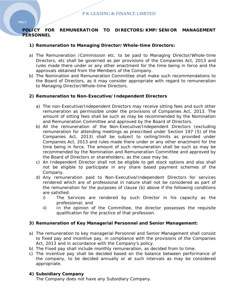## **POLICY FOR REMUNERATION TO DIRECTORS/KMP/SENIOR MANAGEMENT PERSONNEL**

## **1) Remuneration to Managing Director/Whole-time Directors:**

- a) The Remuneration /Commission etc. to be paid to Managing Director/Whole-time Directors, etc shall be governed as per provisions of the Companies Act, 2013 and rules made there under or any other enactment for the time being in force and the approvals obtained from the Members of the Company.
- b) The Nomination and Remuneration Committee shall make such recommendations to the Board of Directors, as it may consider appropriate with regard to remuneration to Managing Director/Whole-time Directors.

## **2) Remuneration to Non-Executive/Independent Directors**

- a) The non-Executive/Independent Directors may receive sitting fees and such other remuneration as permissible under the provisions of Companies Act, 2013. The amount of sitting fees shall be such as may be recommended by the Nomination and Remuneration Committee and approved by the Board of Directors.
- b) All the remuneration of the Non-Executive/Independent Directors (excluding remuneration for attending meetings as prescribed under Section 197 (5) of the Companies Act, 2013) shall be subject to ceiling/limits as provided under Companies Act, 2013 and rules made there under or any other enactment for the time being in force. The amount of such remuneration shall be such as may be recommended by the Nomination and Remuneration Committee and approved by the Board of Directors or shareholders, as the case may be.
- c) An Independent Director shall not be eligible to get stock options and also shall not be eligible to participate in any share based payment schemes of the Company.
- d) Any remuneration paid to Non-Executive/Independent Directors for services rendered which are of professional in nature shall not be considered as part of the remuneration for the purposes of clause (b) above if the following conditions are satisfied:
	- i) The Services are rendered by such Director in his capacity as the professional; and
	- ii) In the opinion of the Committee, the director possesses the requisite qualification for the practice of that profession.

### **3) Remuneration of Key Managerial Personnel and Senior Management:**

- a) The remuneration to key managerial Personnel and Senior Management shall consist to fixed pay and incentive pay, in compliance with the provisions of the Companies Act, 2013 and in accordance with the Company's policy.
- b) The Fixed pay shall include monthly remuneration, as decided from to time.
- c) The incentive pay shall be decided based on the balance between performance of the company, to be decided annually or at such intervals as may be considered appropriate.

## **4) Subsidiary Company**

The Company does not have any Subsidiary Company.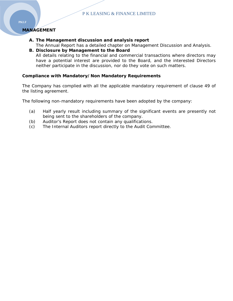## **MANAGEMENT**

- **A. The Management discussion and analysis report** 
	- The Annual Report has a detailed chapter on Management Discussion and Analysis.
- **B. Disclosure by Management to the Board**  All details relating to the financial and commercial transactions where directors may have a potential interest are provided to the Board, and the interested Directors neither participate in the discussion, nor do they vote on such matters.

## **Compliance with Mandatory/Non Mandatory Requirements**

The Company has complied with all the applicable mandatory requirement of clause 49 of the listing agreement.

The following non-mandatory requirements have been adopted by the company:

- (a) Half yearly result including summary of the significant events are presently not being sent to the shareholders of the company.
- (b) Auditor's Report does not contain any qualifications.
- (c) The Internal Auditors report directly to the Audit Committee.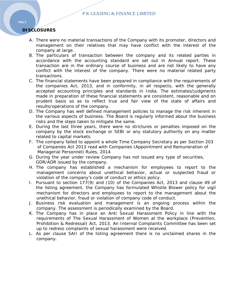## **DISCLOSURES**

- A. There were no material transactions of the Company with its promoter, directors and management on their relatives that may have conflict with the interest of the company at large.
- B. The particulars of transaction between the company and its related parties in accordance with the accounting standard are set out in Annual report. These transaction are in the ordinary course of business and are not likely to have any conflict with the interest of the company. There were no material related party transactions.
- C. The financial statements have been prepared in compliance with the requirements of the companies Act, 2013, and in conformity, in all respects, with the generally accepted accounting principles and standards in India. The estimates/judgments made in preparation of these financial statements are consistent, reasonable and on prudent basis so as to reflect true and fair view of the state of affairs and results/operations of the company.
- D. The Company has well defined management policies to manage the risk inherent in the various aspects of business. The Board is regularly informed about the business risks and the steps taken to mitigate the same.
- E. During the last three years, there were no strictures or penalties imposed on the company by the stock exchange or SEBI or any statutory authority on any matter related to capital markets.
- F. The company failed to appoint a whole Time Company Secretary as per Section 203 of Companies Act 2013 read with Companies (Appointment and Remuneration of Managerial Personnel) Rules, 2014
- G. During the year under review Company has not issued any type of securities, GDR/ADR issued by the company.
- H. The company has established a mechanism for employees to report to the management concerns about unethical behavior, actual or suspected fraud or violation of the company's code of conduct or ethics policy.
- I. Pursuant to section 177(9) and (10) of the Companies Act, 2013 and clause 49 of the listing agreement, the Company has formulated Whistle Blower policy for vigil mechanism for directors and employees to report to the management about the unethical behavior, fraud or violation of company code of conduct.
- J. Business risk evaluation and management is an ongoing process within the company. The assessment is periodically examined by the Board.
- K. The Company has in place an Anti Sexual Harassment Policy in line with the requirements of The Sexual Harassment of Women at the workplace (Prevention, Prohibition & Redressal) Act, 2013. An Internal Complaints Committee has been set up to redress complaints of sexual harassment were received.
- L. As per clause 5AII of the listing agreement there is no unclaimed shares in the company.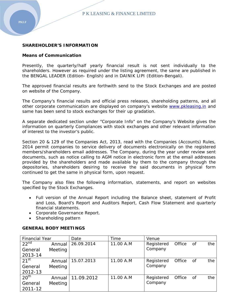## **SHAREHOLDER'S INFORMATION**

### **Means of Communication**

Presently, the quarterly/half yearly financial result is not sent individually to the shareholders. However as required under the listing agreement, the same are published in the BENGAL LEADER (Edition- English) and in DAINIK LIPI (Edition-Bengali).

The approved financial results are forthwith send to the Stock Exchanges and are posted on website of the Company.

The Company's financial results and official press releases, shareholding patterns, and all other corporate communication are displayed on company's website www.pkleasing.in and same has been send to stock exchanges for their up gradation.

A separate dedicated section under "Corporate Info" on the Company's Website gives the information on quarterly Compliances with stock exchanges and other relevant information of interest to the investor's public.

Section 20 & 129 of the Companies Act, 2013, read with the Companies (Accounts) Rules, 2014 permit companies to service delivery of documents electronically on the registered members/shareholders email addresses. The Company, during the year under review sent documents, such as notice calling to AGM notice in electronic form at the email addresses provided by the shareholders and made available by them to the company through the depositories, shareholders desiring to receive the said documents in physical form continued to get the same in physical form, upon request.

The Company also files the following information, statements, and report on websites specified by the Stock Exchanges.

- Full version of the Annual Report including the Balance sheet, statement of Profit and Loss, Board's Report and Auditors Report, Cash Flow Statement and quarterly financial statements.
- Corporate Governance Report.
- Shareholding pattern

### **GENERAL BODY MEETINGS**

| <b>Financial Year</b> |          | Date       | Time      | Venue      |        |    |     |
|-----------------------|----------|------------|-----------|------------|--------|----|-----|
| 22 <sup>nd</sup>      | Annual   | 26.09.2014 | 11.00 A.M | Registered | Office | Οf | the |
| General               | Meeting  |            |           | Company    |        |    |     |
| 2013-14               |          |            |           |            |        |    |     |
| 21 <sup>st</sup>      | Annual   | 15.07.2013 | 11.00 A.M | Registered | Office | Οf | the |
| General               | Meeting  |            |           | Company    |        |    |     |
| 2012-13               |          |            |           |            |        |    |     |
| 20 <sup>th</sup>      | Annual I | 11.09.2012 | 11.00 A.M | Registered | Office | Οf | the |
| General               | Meeting  |            |           | Company    |        |    |     |
| 2011-12               |          |            |           |            |        |    |     |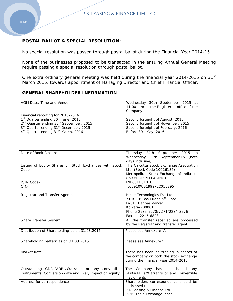## **POSTAL BALLOT & SPECIAL RESOLUTION:**

No special resolution was passed through postal ballot during the Financial Year 2014-15.

None of the businesses proposed to be transacted in the ensuing Annual General Meeting require passing a special resolution through postal ballot.

One extra ordinary general meeting was held during the financial year 2014-2015 on 31<sup>st</sup> March 2015, towards appointment of Managing Director and Chief Financial Officer.

## **GENERAL SHAREHOLDER INFORMATION**

| AGM Date, Time and Venue                                                                                                                                                                                                                                                                 | Wednesday 30th September 2015 at<br>11.00 a.m at the Registered office of the<br>Company                                                                               |
|------------------------------------------------------------------------------------------------------------------------------------------------------------------------------------------------------------------------------------------------------------------------------------------|------------------------------------------------------------------------------------------------------------------------------------------------------------------------|
| Financial reporting for 2015-2016:<br>1 <sup>st</sup> Quarter ending 30 <sup>th</sup> June, 2015<br>2 <sup>nd</sup> Quarter ending 30 <sup>th</sup> September, 2015<br>3rd Quarter ending 31 <sup>st</sup> December, 2015<br>4 <sup>th</sup> Quarter ending 31 <sup>st</sup> March, 2016 | Second fortnight of August, 2015<br>Second fortnight of November, 2015<br>Second fortnight of February, 2016<br>Before 30 <sup>th</sup> May, 2016                      |
| Date of Book Closure                                                                                                                                                                                                                                                                     | Thursday 24th September<br>2015<br>to<br>Wednesday 30th September'15 (both<br>days inclusive)                                                                          |
| Listing of Equity Shares on Stock Exchanges with Stock<br>Code                                                                                                                                                                                                                           | The Calcutta Stock Exchange Association<br>Ltd (Stock Code 10026186)<br>Metropolitan Stock Exchange of India Ltd<br>(SYMBOL: PKLEASING)                                |
| <b>ISIN Code-</b><br>CIN-                                                                                                                                                                                                                                                                | INE061D01018<br>L65910WB1992PLC055895                                                                                                                                  |
| Registrar and Transfer Agents                                                                                                                                                                                                                                                            | Niche Technologies Pvt Ltd<br>71, B.R.B Basu Road, 5 <sup>th</sup> Floor<br>D-511 Bagree Market<br>Kolkata-700001<br>Phone: 2235-7270/7271/2234-3576<br>Fax: 2215-6823 |
| Share Transfer System                                                                                                                                                                                                                                                                    | All the transfer received are processed<br>by the Registrar and transfer Agent                                                                                         |
| Distribution of Shareholding as on 31.03.2015                                                                                                                                                                                                                                            | Please see Annexure 'A'                                                                                                                                                |
| Shareholding pattern as on 31.03.2015                                                                                                                                                                                                                                                    | Please see Annexure 'B'                                                                                                                                                |
| Market Rate                                                                                                                                                                                                                                                                              | There has been no trading in shares of<br>the company on both the stock exchange<br>during the financial year 2014-2015                                                |
| Outstanding GDRs/ADRs/Warrants or any convertible<br>instruments, Conversion date and likely impact on equity                                                                                                                                                                            | The Company has not issued<br>any<br>GDRs/ADRs/Warrants or any Convertible<br>instruments                                                                              |
| Address for correspondence                                                                                                                                                                                                                                                               | Shareholders correspondence should be<br>addressed to:<br>P.K.Leasing & Finance Ltd<br>P-36, India Exchange Place                                                      |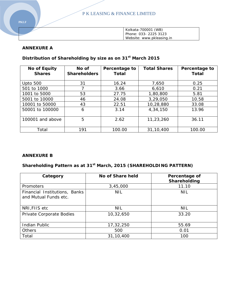P K LEASING & FINANCE LIMITED

| Kolkata-700001 (WB)       |
|---------------------------|
| Phone: 033- 2225 3123     |
| Website: www.pkleasing.in |

## **ANNEXURE A**

# **Distribution of Shareholding by size as on 31st March 2015**

| <b>No of Equity</b><br><b>Shares</b> | No of<br><b>Shareholders</b> | Percentage to<br>Total | <b>Total Shares</b> | Percentage to<br>Total |
|--------------------------------------|------------------------------|------------------------|---------------------|------------------------|
| <b>Upto 500</b>                      | 31                           | 16.24                  | 7,650               | 0.25                   |
| 501 to 1000                          |                              | 3.66                   | 6,610               | 0.21                   |
| 1001 to 5000                         | 53                           | 27.75                  | 1,80,800            | 5.81                   |
| 5001 to 10000                        | 46                           | 24.08                  | 3,29,050            | 10.58                  |
| 10001 to 50000                       | 43                           | 22.51                  | 10,28,880           | 33.08                  |
| 50001 to 100000                      | 6                            | 3.14                   | 4,34,150            | 13.96                  |
| 100001 and above                     | 5                            | 2.62                   | 11,23,260           | 36.11                  |
| Total                                | 191                          | 100.00                 | 31, 10, 400         | 100.00                 |

## **ANNEXURE B**

# **Shareholding Pattern as at 31st March, 2015 (SHAREHOLDING PATTERN)**

| Category                                               | No of Share held | Percentage of<br>Shareholding |
|--------------------------------------------------------|------------------|-------------------------------|
| Promoters                                              | 3,45,000         | 11.10                         |
| Financial Institutions, Banks<br>and Mutual Funds etc. | <b>NIL</b>       | <b>NIL</b>                    |
| NRI, FIIS etc                                          | <b>NIL</b>       | <b>NIL</b>                    |
| Private Corporate Bodies                               | 10,32,650        | 33.20                         |
| Indian Public                                          | 17,32,250        | 55.69                         |
| <b>Others</b>                                          | 500              | 0.01                          |
| Total                                                  | 31,10,400        | 100                           |

**PKLF**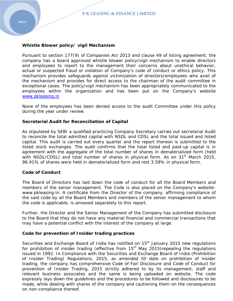Pursuant to section 177(9) of Companies Act 2013 and clause 49 of listing agreement, the company has a board approved whistle blower policy/vigil mechanism to enable directors and employees to report to the management their concerns about unethical behavior, actual or suspected fraud or violation of Company's code of conduct or ethics policy. This mechanism provides safeguards against victimization of directors/employees who avail of the mechanism and provides for direct access to the chairman of the audit committee in exceptional cases. The policy/vigil mechanism has been appropriately communicated to the employees within the organization and has been put on the Company's website www.pkleasing.in

None of the employees has been denied access to the audit Committee under this policy during the year under review.

### **Secretarial Audit for Reconciliation of Capital**

As stipulated by SEBI a qualified practicing Company Secretary carries out secretarial Audit to reconcile the total admitted capital with NSDL and CDSL and the total issued and listed capital. This audit is carried out every quarter and the report thereon is submitted to the listed stock exchanges. The audit confirms that the total listed and paid-up capital is in agreement with the aggregate of the total number of shares in dematerialized form (held with NSDL/CDSL) and total number of shares in physical form. As on  $31<sup>st</sup>$  March 2015, 96.41% of shares were held in dematerialized form and rest 3.59% in physical form.

### **Code of Conduct**

The Board of Directors has laid down the code of conduct for all the Board Members and members of the senior management. The Code is also placed on the Company's websitewww.pkleasing.in. A certificate from the Director of the company, affirming compliance of the said code by all the Board Members and members of the senior management to whom the code is applicable, is annexed separately to this report.

Further, the Director and the Senior Management of the Company has submitted disclosure to the Board that they do not have any material financial and commercial transactions that may have a potential conflict with the interest of the company at large.

### **Code for prevention of Insider trading practices**

Securities and Exchange Board of India has notified on 15<sup>th</sup> January 2015 new regulations for prohibition of insider trading (effective from  $15<sup>th</sup>$  May 2015) repealing the regulations issued in 1992. In Compliance with the Securities and Exchange Board of India (Prohibition of Insider Trading) Regulations, 2015, as amended till date on prohibition of insider trading, the company has comprehensive Code of Fair Disclosure and Code of Conduct for prevention of Insider Trading, 2015 strictly adhered to by its management, staff and relevant business associates and the same is being uploaded on website. The code expressly lays down the guidelines and the procedures to be followed and disclosures to be made, while dealing with shares of the company and cautioning them on the consequences on non-compliance thereof.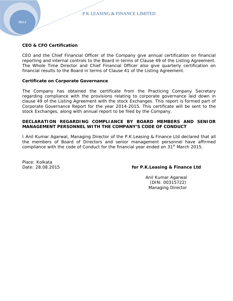### **CEO & CFO Certification**

CEO and the Chief Financial Officer of the Company give annual certification on financial reporting and internal controls to the Board in terms of Clause 49 of the Listing Agreement. The Whole Time Director and Chief Financial Officer also give quarterly certification on financial results to the Board in terms of Clause 41 of the Listing Agreement.

### **Certificate on Corporate Governance**

The Company has obtained the certificate from the Practicing Company Secretary regarding compliance with the provisions relating to corporate governance laid down in clause 49 of the Listing Agreement with the stock Exchanges. This report is formed part of Corporate Governance Report for the year 2014-2015. This certificate will be sent to the stock Exchanges, along with annual report to be filed by the Company.

### **DECLARATION REGARDING COMPLIANCE BY BOARD MEMBERS AND SENIOR MANAGEMENT PERSONNEL WITH THE COMPANY'S CODE OF CONDUCT**

I Anil Kumar Agarwal, Managing Director of the P.K.Leasing & Finance Ltd declared that all the members of Board of Directors and senior management personnel have affirmed compliance with the code of Conduct for the financial year ended on 31<sup>st</sup> March 2015.

Place: Kolkata

### Date: 28.08.2015 **for P.K.Leasing & Finance Ltd**

 Anil Kumar Agarwal (DIN: 00315722) Managing Director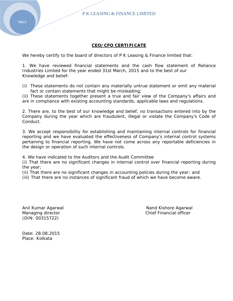P K LEASING & FINANCE LIMITED

## **CEO/CFO CERTIFICATE**

We hereby certify to the board of directors of P K Leasing & Finance limited that:

1. We have reviewed financial statements and the cash flow statement of Reliance Industries Limited for the year ended 31st March, 2015 and to the best of our Knowledge and belief:

(i) These statements do not contain any materially untrue statement or omit any material fact or contain statements that might be misleading;

(ii) These statements together present a true and fair view of the Company's affairs and are in compliance with existing accounting standards, applicable laws and regulations.

2. There are, to the best of our knowledge and belief, no transactions entered into by the Company during the year which are fraudulent, illegal or violate the Company's Code of Conduct.

3. We accept responsibility for establishing and maintaining internal controls for financial reporting and we have evaluated the effectiveness of Company's internal control systems pertaining to financial reporting. We have not come across any reportable deficiencies in the design or operation of such internal controls.

4. We have indicated to the Auditors and the Audit Committee

(i) That there are no significant changes in internal control over financial reporting during the year;

(ii) That there are no significant changes in accounting policies during the year; and

(iii) That there are no instances of significant fraud of which we have become aware.

(DIN: 00315722)

Anil Kumar Agarwal Nand Kishore Agarwal Nand Kishore Agarwal Managing director **Chief Financial officer** Chief Financial officer

Date: 28.08.2015 Place: Kolkata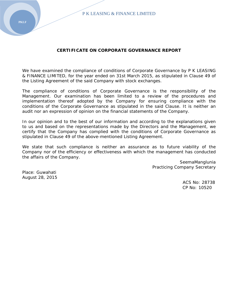### **CERTIFICATE ON CORPORATE GOVERNANCE REPORT**

We have examined the compliance of conditions of Corporate Governance by P K LEASING & FINANCE LIMITED, for the year ended on 31st March 2015, as stipulated in Clause 49 of the Listing Agreement of the said Company with stock exchanges.

The compliance of conditions of Corporate Governance is the responsibility of the Management. Our examination has been limited to a review of the procedures and implementation thereof adopted by the Company for ensuring compliance with the conditions of the Corporate Governance as stipulated in the said Clause. It is neither an audit nor an expression of opinion on the financial statements of the Company.

In our opinion and to the best of our information and according to the explanations given to us and based on the representations made by the Directors and the Management, we certify that the Company has complied with the conditions of Corporate Governance as stipulated in Clause 49 of the above-mentioned Listing Agreement.

We state that such compliance is neither an assurance as to future viability of the Company nor of the efficiency or effectiveness with which the management has conducted the affairs of the Company.

> SeemaManglunia Practicing Company Secretary

Place: Guwahati August 28, 2015

 ACS No: 28738 CP No: 10520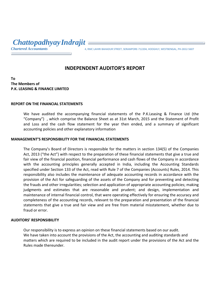# *Chattopadhyay Indrajit*

*Chartered Accountants* 4, RMC LAHIRI BAHADUR STREET, SERAMPORE‐712204, HOOGHLY, WESTBENGAL, PH‐2652‐<sup>5607</sup>

# **INDEPENDENT AUDITOR'S REPORT**

## **To The Members of P.K. LEASING & FINANCE LIMITED**

## **REPORT ON THE FINANCIAL STATEMENTS**

We have audited the accompanying financial statements of the P.K.Leasing & Finance Ltd (the "Company") , which comprise the Balance Sheet as at 31st March, 2015 and the Statement of Profit and Loss and the cash flow statement for the year then ended, and a summary of significant accounting policies and other explanatory information

### **MANAGEMENT'S RESPONSIBILITY FOR THE FINANCIAL STATEMENTS**

The Company's Board of Directors is responsible for the matters in section 134(5) of the Companies Act, 2013 ("the Act") with respect to the preparation of these financial statements that give a true and fair view of the financial position, financial performance and cash flows of the Company in accordance with the accounting principles generally accepted in India, including the Accounting Standards specified under Section 133 of the Act, read with Rule 7 of the Companies (Accounts) Rules, 2014. This responsibility also includes the maintenance of adequate accounting records in accordance with the provision of the Act for safeguarding of the assets of the Company and for preventing and detecting the frauds and other irregularities; selection and application of appropriate accounting policies; making judgments and estimates that are reasonable and prudent; and design, implementation and maintenance of internal financial control, that were operating effectively for ensuring the accuracy and completeness of the accounting records, relevant to the preparation and presentation of the financial statements that give a true and fair view and are free from material misstatement, whether due to fraud or error.

### **AUDITORS' RESPONSIBILITY**

Our responsibility is to express an opinion on these financial statements based on our audit. We have taken into account the provisions of the Act, the accounting and auditing standards and matters which are required to be included in the audit report under the provisions of the Act and the Rules made thereunder.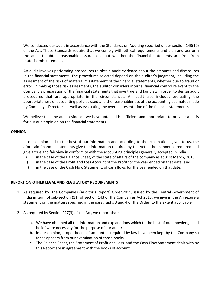We conducted our audit in accordance with the Standards on Auditing specified under section 143(10) of the Act. Those Standards require that we comply with ethical requirements and plan and perform the audit to obtain reasonable assurance about whether the financial statements are free from material misstatement.

An audit involves performing procedures to obtain audit evidence about the amounts and disclosures in the financial statements. The procedures selected depend on the auditor's judgment, including the assessment of the risks of material misstatement of the financial statements, whether due to fraud or error. In making those risk assessments, the auditor considers internal financial control relevant to the Company's preparation of the financial statements that give true and fair view in order to design audit procedures that are appropriate in the circumstances. An audit also includes evaluating the appropriateness of accounting policies used and the reasonableness of the accounting estimates made by Company's Directors, as well as evaluating the overall presentation of the financial statements.

We believe that the audit evidence we have obtained is sufficient and appropriate to provide a basis for our audit opinion on the financial statements.

### **OPINION**

In our opinion and to the best of our information and according to the explanations given to us, the aforesaid financial statements give the information required by the Act in the manner so required and give a true and fair view in conformity with the accounting principles generally accepted in India:

- (i) in the case of the Balance Sheet, of the state of affairs of the company as at 31st March, 2015;
- (ii) in the case of the Profit and Loss Account of the Profit for the year ended on that date; and
- (iii) in the case of the Cash Flow Statement, of cash flows for the year ended on that date.

### **REPORT ON OTHER LEGAL AND REGULATORY REQUIREMENTS**

- 1. As required by the Companies (Auditor's Report) Order,2015, issued by the Central Government of India in term of sub-section (11) of section 143 of the Companies Act, 2013, we give in the Annexure a statement on the matters specified in the paragraphs 3 and 4 of the Order, to the extent applicable
- 2. As required by Section 227(3) of the Act, we report that:
	- a. We have obtained all the information and explanations which to the best of our knowledge and belief were necessary for the purpose of our audit;
	- b. In our opinion, proper books of account as required by law have been kept by the Company so far as appears from our examination of those books.
	- c. The Balance Sheet, the Statement of Profit and Loss, and the Cash Flow Statement dealt with by this Report are in agreement with the books of account.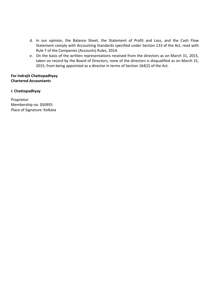- d. In our opinion, the Balance Sheet, the Statement of Profit and Loss, and the Cash Flow Statement comply with Accounting Standards specified under Section 133 of the Act, read with Rule 7 of the Companies (Accounts) Rules, 2014.
- e. On the basis of the written representations received from the directors as on March 31, 2015, taken on record by the Board of Directors, none of the directors is disqualified as on March 31, 2015, from being appointed as a director in terms of Section 164(2) of the Act.

**For Indrajit Chattopadhyay Chartered Accountants**

## **I. Chattopadhyay**

Proprietor Membership no. 050955 Place of Signature: Kolkata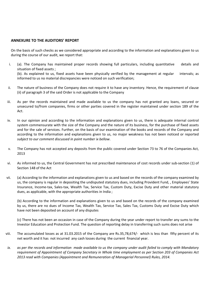### **ANNEXURE TO THE AUDITORS' REPORT**

On the basis of such checks as we considered appropriate and according to the information and explanations given to us during the course of our audit, we report that:

- i. (a). The Company has maintained proper records showing full particulars, including quantitative details and situation of fixed assets ; (b). As explained to us, fixed assets have been physically verified by the management at regular intervals; as informed to us no material discrepancies were noticed on such verification;
- ii. The nature of business of the Company does not require it to have any inventory. Hence, the requirement of clause (ii) of paragraph 3 of the said Order is not applicable to the Company
- iii. As per the records maintained and made available to us the company has not granted any loans, secured or unsecured to/from companies, firms or other parties covered in the register maintained under section 189 of the Act.
- iv. In our opinion and according to the information and explanations given to us, there is adequate internal control system commensurate with the size of the Company and the nature of its business, for the purchase of fixed assets and for the sale of services. Further, on the basis of our examination of the books and records of the Company and according to the information and explanations given to us, no major weakness has not been noticed or reported *subject to our comment discussed in point number ix bellow*.
- v. The Company has not accepted any deposits from the public covered under Section 73 to 76 of the Companies Act, 2013
- vi. As informed to us, the Central Government has not prescribed maintenance of cost records under sub‐section (1) of Section 148 of the Act
- vii. (a) According to the information and explanations given to us and based on the records of the company examined by us, the company is regular in depositing the undisputed statutory dues, including Provident Fund, , Employees' State Insurance, Income‐tax, Sales‐tax, Wealth Tax, Service Tax, Custom Duty, Excise Duty and other material statutory dues, as applicable, with the appropriate authorities in India ;

(b) According to the information and explanations given to us and based on the records of the company examined by us, there are no dues of Income Tax, Wealth Tax, Service Tax, Sales Tax, Customs Duty and Excise Duty which have not been deposited on account of any disputes

(c) There has not been an occasion in case of the Company during the year under report to transfer any sums to the Investor Education and Protection Fund. The question of reporting delay in transferring such sums does not arise

- viii. The accumulated losses as at 31.03.2015 of the Company are Rs.35,78,674/‐ which is less than fifty percent of its net worth and it has not incurred any cash losses during the current financial year.
- ix. as per the records and information made available to us the company under audit failed to comply with Mandatory requirement of Appointment of Company Secretary in Whole time employment as per Section 203 of Companies Act *2013 read with Companies (Appointment and Remuneration of Managerial Personnel) Rules, 2014.*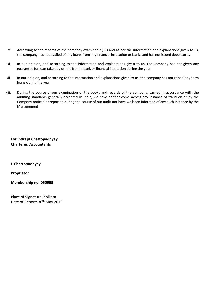- x. According to the records of the company examined by us and as per the information and explanations given to us, the company has not availed of any loans from any financial institution or banks and has not issued debentures
- xi. In our opinion, and according to the information and explanations given to us, the Company has not given any guarantee for loan taken by others from a bank or financial institution during the year
- xii. In our opinion, and according to the information and explanations given to us, the company has not raised any term loans during the year
- xiii. During the course of our examination of the books and records of the company, carried in accordance with the auditing standards generally accepted in India, we have neither come across any instance of fraud on or by the Company noticed or reported during the course of our audit nor have we been informed of any such instance by the Management

**For Indrajit Chattopadhyay Chartered Accountants**

**I. Chattopadhyay**

**Proprietor**

**Membership no. 050955**

Place of Signature: Kolkata Date of Report: 30<sup>th</sup> May 2015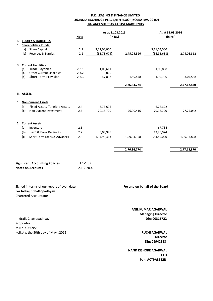### **P.K. LEASING & FINANCE LIMITED P‐36,INDIA EXCHANGE PLACE,4TH FLOOR,KOLKATA=700 001 BALANCE SHEET AS AT 31ST MARCH 2015**

|    |            |                                        |                | As at 31.03.2015 |             | As at 31.03.2014 |             |
|----|------------|----------------------------------------|----------------|------------------|-------------|------------------|-------------|
|    |            |                                        | <b>Note</b>    | (in Rs.)         |             | (in Rs.)         |             |
| ı. |            | <b>EQUITY &amp; LIABILITIES</b>        |                |                  |             |                  |             |
| 1. |            | <b>Shareholders' Funds</b>             |                |                  |             |                  |             |
|    | a)         | <b>Share Capital</b>                   | 2.1            | 3,11,04,000      |             | 3,11,04,000      |             |
|    | b)         | Reserves & Surplus                     | 2.2            | (35, 78, 674)    | 2,75,25,326 | (36, 95, 688)    | 2,74,08,312 |
|    |            | 3. Current Liabilities                 |                |                  |             |                  |             |
|    | (a)        | <b>Trade Payables</b>                  | 2.3.1          | 1,08,611         |             | 1,09,858         |             |
|    | (b)        | <b>Other Current Liabilities</b>       | 2.3.2          | 3,000            |             |                  |             |
|    | (c)        | <b>Short Term Provision</b>            | 2.3.3          | 47,837           | 1,59,448    | 1,94,700         | 3,04,558    |
|    |            |                                        |                |                  | 2,76,84,774 |                  | 2,77,12,870 |
|    | II. ASSETS |                                        |                |                  |             |                  |             |
| 1. |            | <b>Non-Current Assets</b>              |                |                  |             |                  |             |
|    | (a)        | Fixed Assets-Tangible Assets           | 2.4            | 6,73,696         |             | 6,78,322         |             |
|    | (b)        | Non Current Investment                 | 2.5            | 70,16,720        | 76,90,416   | 70,96,720        | 77,75,042   |
|    |            | 2. Current Assets                      |                |                  |             |                  |             |
|    | (a)        | Inventory                              | 2.6            |                  |             | 67,734           |             |
|    | (b)        | Cash & Bank Balances                   | 2.7            | 5,03,995         |             | 13,85,074        |             |
|    | (c)        | Short Term Loans & Advances            | 2.8            | 1,94,90,363      | 1,99,94,358 | 1,84,85,020      | 1,99,37,828 |
|    |            |                                        |                |                  |             |                  |             |
|    |            |                                        |                |                  | 2,76,84,774 |                  | 2,77,12,870 |
|    |            |                                        |                |                  |             |                  |             |
|    |            | <b>Significant Accounting Policies</b> | $1.1 - 1.09$   |                  |             |                  |             |
|    |            | <b>Notes on Accounts</b>               | $2.1 - 2.20.4$ |                  |             |                  |             |
|    |            |                                        |                |                  |             |                  |             |

Signed in terms of our report of even date **For and on behalf of the Board For Indrajit Chattopadhyay** Chartered Accountants

**Managing Director Din: 00315722 ANIL KUMAR AGARWAL**

> **RUCHI AGARWAL Din: 06942318 Director**

**CFO NAND KISHORE AGARWAL Pan: ACTPA8612R**

(Indrajit Chattopadhyay) Proprietor M No. : 050955 Kolkata, the 30th day of May ,2015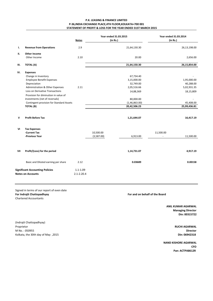### **P.K. LEASING & FINANCE LIMITED P‐36,INDIA EXCHANGE PLACE,4TH FLOOR,KOLKATA=700 001 STATEMENT OF PROFIT & LOSS FOR THE YEAR ENDED 31ST MARCH 2015**

|     |                                                                                                                                                                                                                                                                                                     | <b>Notes</b>                   | Year ended 31.03.2015<br>(in Rs.) |                                                                                                                 | Year ended 31.03.2014<br>(in Rs.) |                                                                                   |
|-----|-----------------------------------------------------------------------------------------------------------------------------------------------------------------------------------------------------------------------------------------------------------------------------------------------------|--------------------------------|-----------------------------------|-----------------------------------------------------------------------------------------------------------------|-----------------------------------|-----------------------------------------------------------------------------------|
| Ι.  | <b>Revenue from Operations</b>                                                                                                                                                                                                                                                                      | 2.9                            |                                   | 21,64,130.30                                                                                                    |                                   | 26,13,198.00                                                                      |
| н.  | Other Income<br>Other Income                                                                                                                                                                                                                                                                        | 2.10                           |                                   | 20.00                                                                                                           |                                   | 2,656.00                                                                          |
| Ш.  | <b>TOTAL (A)</b>                                                                                                                                                                                                                                                                                    |                                |                                   | 21,64,150.30                                                                                                    |                                   | 26,15,854.00                                                                      |
| IV. | <b>Expenses</b><br>Change in Inventory<br><b>Employee Benefit Expenses</b><br>Depreciation<br>Administration & Other Expenses<br>Loss on Derivative Transactions<br>Provision for diminution in value of<br>investments (net of reversals)<br>Contingent provision for Standard Assets<br>TOTAL (B) | 2.11                           |                                   | 67,734.40<br>3,15,000.00<br>32,749.00<br>2,05,516.66<br>14,88,369<br>80,000.00<br>(1,46,863.00)<br>20,42,506.23 |                                   | 1,95,000.00<br>40,288.00<br>5,02,931.35<br>18,15,809<br>45,408.00<br>25,99,436.81 |
| v   | <b>Profit Before Tax</b>                                                                                                                                                                                                                                                                            |                                |                                   | 1,21,644.07                                                                                                     |                                   | 16,417.19                                                                         |
| VI  | <b>Tax Expenses</b><br>-Current Tax<br>-Previous Year                                                                                                                                                                                                                                               |                                | 10,500.00<br>(3,587.00)           | 6,913.00                                                                                                        | 11,500.00                         | 11,500.00                                                                         |
| VII | Profit/(Loss) for the period                                                                                                                                                                                                                                                                        |                                |                                   | 1,14,731.07                                                                                                     |                                   | 4,917.19                                                                          |
|     | Basic and Diluted earning per share                                                                                                                                                                                                                                                                 | 2.12                           |                                   | 0.03689                                                                                                         |                                   | 0.00158                                                                           |
|     | <b>Significant Accounting Policies</b><br><b>Notes on Accounts</b>                                                                                                                                                                                                                                  | $1.1 - 1.09$<br>$2.1 - 2.20.4$ |                                   |                                                                                                                 |                                   |                                                                                   |

Signed in terms of our report of even date **For Indrajit Chattopadhyay For and on behalf of the Board** Chartered Accountants

**ANIL KUMAR AGARWAL Managing Director Din: 00315722**

(Indrajit Chattopadhyay) Proprietor M No. : 050955 Kolkata, the 30th day of May ,2015

**Director RUCHI AGARWAL Din: 06942318**

**CFO Pan: ACTPA8612R NAND KISHORE AGARWAL**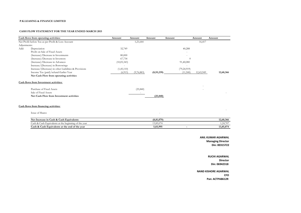#### **P.K.LEASING & FINANCE LIMITED**

### **CASH FLOW STATEMENT FOR THE YEAR ENDED MARCH 2015**

|              | Cash flows from operating activities:                 | Amount      | Amount     | Amount       | Amount        | Amount    | Amount    |
|--------------|-------------------------------------------------------|-------------|------------|--------------|---------------|-----------|-----------|
|              | Net Profit before Tax as per Profit & Loss Account    |             | 1,21,644   |              |               | 16,417    |           |
| Adjustments: |                                                       |             |            |              |               |           |           |
| Add:         | Depreciation                                          | 32,749      |            |              | 40,288        |           |           |
|              | Profit on Sale of Fixed Assets                        |             |            |              |               |           |           |
|              | (Increase)/Decrease in Investments                    | 80,000      |            |              |               |           |           |
|              | (Increase)/Decrease in Inventory                      | 67,734      |            |              |               |           |           |
|              | (Increase)/Decrease in Advances                       | (10,05,343) |            |              | 91,40,080     |           |           |
|              | Increase/(Decrease) in Borrowings                     |             |            |              |               |           |           |
|              | Increase/(Decrease) in other Liabilities & Provisions | (1,45,110)  |            |              | (79, 24, 919) |           |           |
|              | Income Tax (paid)/refund-Earlier Year                 | (6,913)     | (9,76,883) | (8, 55, 239) | (11,500)      | 12,43,949 | 12,60,366 |
|              | Net Cash Flow from operating activities               |             |            |              |               |           |           |
|              | Cash flows from Investment activities:                |             |            |              |               |           |           |
|              | Purchase of Fixed Assets                              |             | (25, 840)  |              |               |           |           |
|              | Sale of Fixed Assets                                  |             |            |              |               |           |           |
|              | Net Cash Flow from Investment activities              |             |            | (25, 840)    |               |           |           |
|              | Cash flows from financing activities:                 |             |            |              |               |           |           |
|              | Issue of Shares                                       |             |            |              |               |           |           |
|              | Net Increase in Cash & Cash Equivalents               |             |            | (8, 81, 079) |               |           | 12,60,366 |
|              | Cash & Cash Equivalents at the beginning of the year  |             |            | 13,85,074    |               |           | 1,24,707  |
|              | Cash & Cash Equivalents at the end of the year        |             |            | 5,03,995     |               |           | 13,85,074 |

**ANIL KUMAR AGARWAL Managing Director Din: 00315722**

> **RUCHI AGARWAL Director Din: 06942318**

**CFO NAND KISHORE AGARWAL Pan: ACTPA8612R**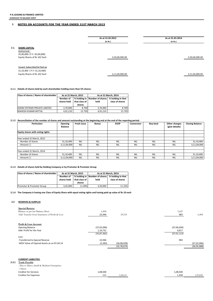### **2. NOTES ON ACCOUNTS FOR THE YEAR ENDED 31ST MARCH 2015**

|      |                                                                                                   | As at 31.03.2015<br>(in Rs.) | As at 31.03.2014<br>(in Rs.) |
|------|---------------------------------------------------------------------------------------------------|------------------------------|------------------------------|
| 2.1. | <b>SHARE CAPITAL</b><br>Authorised:<br>35,00,000 (P.Y:-35,00,000)<br>Equity Shares of Rs 10/ Each | 3,50,00,000.00               | 3,50,00,000.00               |
|      | Issued, Subscribed & Paid up<br>31,10,400 (P.Y:-31,10,400)<br>Equity Shares of Rs 10/ Each        | 3,11,04,000.00               | 3,11,04,000.00               |

### **2.1.1 Details of shares held by each shareholder holding more than 5% shares:**

| <b>Class of shares / Name of shareholder</b> | As at 31 March, 2015     |                         | As at 31 March. 2014                  |                                      |  |
|----------------------------------------------|--------------------------|-------------------------|---------------------------------------|--------------------------------------|--|
|                                              | Number of<br>shares held | that class of<br>shares | % holding in Number of shares<br>held | % holding in that<br>class of shares |  |
| <b>ZOOM SYSTEMS PRIVATE LIMITED</b>          | 2.70.900                 | 8.709                   | 2.70.900                              | 8.709                                |  |
| <b>MAHESH KUMAR MITTAL</b>                   | 4,91,210                 | 15.793                  | 4,91,210                              | 15.793                               |  |

### 2.1.2 Reconciliation of the number of shares and amount outstanding at the beginning and at the end of the reporting period:

| <b>Particulars</b>               | Opening<br><b>Balance</b> | Fresh issue | <b>Bonus</b> | <b>ESOP</b> | Conversion | <b>Buy back</b> | Other changes<br>(give details) | <b>Closing Balance</b> |
|----------------------------------|---------------------------|-------------|--------------|-------------|------------|-----------------|---------------------------------|------------------------|
| Equity shares with voting rights |                           |             |              |             |            |                 |                                 |                        |
|                                  |                           |             |              |             |            |                 |                                 |                        |
| Year ended 31 March, 2015        |                           |             |              |             |            |                 |                                 |                        |
| - Number of shares               | 31,10,400                 | <b>NIL</b>  | <b>NIL</b>   | <b>NIL</b>  | <b>NIL</b> | <b>NIL</b>      | <b>NIL</b>                      | 31,10,400              |
| - Amount (`)                     | 3,11,04,000               | <b>NIL</b>  | <b>NIL</b>   | <b>NIL</b>  | <b>NIL</b> | <b>NIL</b>      | <b>NIL</b>                      | 3,11,04,000            |
|                                  |                           |             |              |             |            |                 |                                 |                        |
| Year ended 31 March, 2014        |                           |             |              |             |            |                 |                                 |                        |
| - Number of shares               | 31,10,400                 | <b>NIL</b>  | <b>NIL</b>   | <b>NIL</b>  | <b>NIL</b> | <b>NIL</b>      | <b>NIL</b>                      | 31,10,400              |
| - Amount (`)                     | 3,11,04,000               | <b>NIL</b>  | <b>NIL</b>   | <b>NIL</b>  | <b>NIL</b> | <b>NIL</b>      | <b>NIL</b>                      | 3,11,04,000            |

### **2.1.3 Details of shares held by Holding Company or by Promoter & Promoter Group**

| Class of shares / Name of shareholder | As at 31 March, 2015     |                         | As at 31 March. 2014                  |                                      |  |
|---------------------------------------|--------------------------|-------------------------|---------------------------------------|--------------------------------------|--|
|                                       | Number of<br>shares held | that class of<br>shares | % holding in Number of shares<br>held | % holding in that<br>class of shares |  |
| Promoter & Promoter Group             | 3,45,000                 | 11.09%                  | 3,50,000                              | 11.25%                               |  |

### 2.1.4 The Company is having one Class of Equity Share with equal voting rights and having paid up value of Rs 10 each

### **2.2 RESERVES & SURPLUS**

| <b>Special Reserve</b>                        |               |               |                          |               |
|-----------------------------------------------|---------------|---------------|--------------------------|---------------|
| Balance as per last Balance Sheet             | 6,408         |               | 5,425                    |               |
| Add: Transfer from Statement of Profit & Loss | 22,946        | 29,354        | 983                      | 6,408         |
| Profit & Loss Account                         |               |               |                          |               |
| <b>Opening Balance</b>                        | (37,02,096)   |               | (37,06,030)              |               |
| Add: Profit for the Year                      | 1,14,731      |               | 4,917                    |               |
|                                               | (35, 87, 365) |               | (37, 01, 113)            |               |
| Less:                                         |               |               |                          |               |
| -Transferred to Special Reserve               | 22,946        |               | 983                      |               |
| -WDV Value of Expired Assets as on 01.04.14   | (2, 283)      | (36,08,028)   | $\sim$                   | (37,02,096)   |
|                                               |               | (35, 78, 674) |                          | (36, 95, 688) |
|                                               |               |               |                          |               |
|                                               |               |               |                          |               |
|                                               |               |               |                          |               |
| <b>CURRENT LIABILITIES</b>                    |               |               |                          |               |
| <b>Trade Payable</b><br>2.3.1                 |               |               |                          |               |
| - Due to Micro, Small & Medium Enterprises    | $\sim$        |               | $\overline{\phantom{a}}$ |               |
| - Others                                      |               |               |                          |               |

Creditor for Expenses 1,09,858 1,09,858 1,09,858 1,09,858 1,09,858 1,09,858 1,09,858 1,09,858 1,09,858 1,09,858

Creditor for Services 1,08,500 1,08,500 1,08,500 1,08,500 1,08,500 1,08,500 1,08,500 1,08,500 1,08,500 1,08,500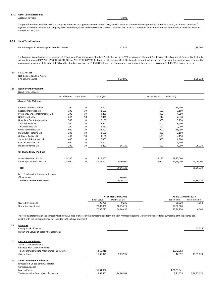# **2.3.2 Other Current Liabilities**

Accounts Payable  $\overline{\phantom{a}}$  . The set of the set of the set of the set of the set of the set of the set of the set of the set of the set of the set of the set of the set of the set of the set of the set of the set of the

\* As per information available with the company, there are no suppliers covered under Micro, Small & Medium Enterprise Development Act, 2006. As a result, no interest provision / payment have been made by the company to such creditors, if any, and no disclosure thereof is made in this financial statements. The amount amount due to Micro,Small and Medium Enterprises ` Nil (` Nil).

### **2.3.3 Short Term Provision**

| For Contingent Provisions against Standard Assets | 47.837 | 1.94.700 |
|---------------------------------------------------|--------|----------|
|                                                   |        |          |

The Company is continuing with provision of 'Contingent Provision against Standard Assets' by way of 0.25% provision on Standard Assets as per the direction of Reserve Bank of India vide notification no RBI/2010-11/370-DNBS. PD. CC. No. 207/ 03.02.002/2010-11, dated 17th January 2011 .The brought forward balance of provision from the previous year is above the maintainable provision at the rate of 0.25% on the standard assets as on 31.03.2015. Hence, the Company has written back the execess provision of Rs 1,46,863/‐ during the year .

### **2.4 FIXED ASSETS**

|     | Net Block of Tangible Assets            |               |            |             |           |               |             |           |
|-----|-----------------------------------------|---------------|------------|-------------|-----------|---------------|-------------|-----------|
|     | (As per Annexure)                       |               |            |             | 6,73,696  |               |             | 6,78,322  |
| 2.5 | <b>Non Current Investment</b>           |               |            |             |           |               |             |           |
|     | (Long Term - At cost) :                 |               |            |             |           |               |             |           |
|     |                                         | No. of Shares | Face Value | Value (Rs.) |           | No. of Shares | Value (Rs.) |           |
|     | Quoted Fully (Paid-up)                  |               |            |             |           |               |             |           |
|     | Chemox Chemical Ind Ltd                 | 200           | 10         | 14,700      |           | 200           | 14,700      |           |
|     | Kabsons Industries Ltd                  | 100           | 10         | 1,100       |           | 100           | 1,100       |           |
|     | Presidency Shoes International Ltd      | 200           | 10         | 4,250       |           | 200           | 4,250       |           |
|     | <b>NEPC Textiles Ltd</b>                | 242           | 10         | 2,940       |           | 242           | 2,940       |           |
|     | Northland Sugar Complex Ltd             | 500           | 10         | 5,150       |           | 500           | 5,150       |           |
|     | Sunil Industries Ltd                    | 300           | 10         | 9,500       |           | 300           | 9,500       |           |
|     | Tina Industries Ltd                     | 200           | 10         | 2,080       |           | 200           | 2,080       |           |
|     | Orissa Lumineries Ltd                   | 900           | 10         | 36,000      |           | 900           | 36,000      |           |
|     | Indo Dutch Proteins Ltd                 | 200           | 10         | 2,150       |           | 200           | 2,150       |           |
|     | <b>Goldwon Textiles Ltd</b>             | 400           | 10         | 4,150       |           | 400           | 4,150       |           |
|     | Shree Karthik Papers Ltd                | 600           | 10         | 6,300       |           | 600           | 6,300       |           |
|     | Crest Paper Mills Ltd                   | 400           | 10         | 4,200       |           | 400           | 4,200       |           |
|     | Ind Euro Pharma Ltd                     | 200           | 10         | 4,200       | 96,720    | 200           | 4,200       | 96,720    |
|     | Un-Quoted Fully (Paid-up)               |               |            |             |           |               |             |           |
|     | Atlanta Dealmark Pvt Ltd                | 18,250        | 10         | 18,25,000   |           | 18,250        | 18,25,000   |           |
|     | Surya Agro Products Pvt Ltd             | 75,000        | 10         | 51,75,000   | 70,00,000 | 75,000        | 51,75,000   | 70,00,000 |
|     | <b>Total</b>                            |               |            |             | 70,96,720 |               |             | 70,96,720 |
|     | Less: Provision for diminution in value |               |            |             |           |               |             |           |
|     | of investments                          |               |            |             | 80,000    |               |             |           |
|     | <b>Total Non Current Investment</b>     |               |            |             | 70,16,720 |               |             | 70,96,720 |

|                     |                   | As at 31st March, 2015 |  |            | As at 31st March, 2014 |  |  |
|---------------------|-------------------|------------------------|--|------------|------------------------|--|--|
|                     | <b>Book Value</b> | Market Value           |  | Book Value | Market Value           |  |  |
| Quoted Investment   | 96.720            | 9.225                  |  | 96.720     | 4.060                  |  |  |
| Unquoted Investment | 70.00.000         | 68,85,225              |  | 70.00.000  | -                      |  |  |
|                     | 70.96.720         | 68,94,450              |  | 70.96.720  | 4,060                  |  |  |

The Holding Statement of the company is showing 15 Nos of shares in the demataralised form of Relish Phrmaceuticals Ltd .However no records for ownership of those shares are avilable with the company hence not included in the above statement

| 2.6. | Inventory<br>Closing stock of Shares<br>(Taken and valued at cost by Management)                                                                                        |                         |             |                         | 67,734      |
|------|-------------------------------------------------------------------------------------------------------------------------------------------------------------------------|-------------------------|-------------|-------------------------|-------------|
| 2.7  | <b>Cash &amp; Bank Balances</b><br>-Cash & Cash Equivalents<br><b>Balances with Scheduled Banks</b><br>- Bank of India(Kolkata Main branch)-Current A/c<br>Cash in Hand | 3,66,916<br>1,37,079    | 5,03,995    | 13,72,082<br>12,992     | 13,85,074   |
| 2.8  | <b>Short Term Loans &amp; Advances</b><br>(Unsecured, unless otherwise stated<br>Considered good)<br>Loan to Parties<br>Tax Deducted at Source(Net of Provision)        | 1,91,34,862<br>3,55,501 | 1,94,90,363 | 1,81,63,341<br>3,21,679 | 1,84,85,020 |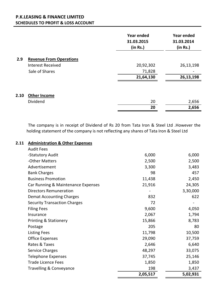# **SCHEDULES TO PROFIT & LOSS ACCOUNT P.K.LEASING & FINANCE LIMITED**

|      |                                | <b>Year ended</b><br>31.03.2015<br>(in Rs.) | <b>Year ended</b><br>31.03.2014<br>(in Rs.) |
|------|--------------------------------|---------------------------------------------|---------------------------------------------|
| 2.9  | <b>Revenue From Operations</b> |                                             |                                             |
|      | <b>Interest Received</b>       | 20,92,302                                   | 26,13,198                                   |
|      | Sale of Shares                 | 71,828                                      |                                             |
|      |                                | 21,64,130                                   | 26,13,198                                   |
| 2.10 | <b>Other Income</b>            |                                             |                                             |
|      | Dividend                       | 20                                          | 2,656                                       |
|      |                                | 20                                          | 2,656                                       |

The company is in receipt of Dividend of Rs 20 from Tata Iron & Steel Ltd .However the holding statement of the company is not reflecting any shares of Tata Iron & Steel Ltd

## **Administration & Other Expenses 2.11**

| <b>Audit Fees</b>                   |          |          |
|-------------------------------------|----------|----------|
| -Statutory Audit                    | 6,000    | 6,000    |
| -Other Matters                      | 2,500    | 2,500    |
| Advertisement                       | 3,300    | 3,483    |
| <b>Bank Charges</b>                 | 98       | 457      |
| <b>Business Promotion</b>           | 11,438   | 2,450    |
| Car Running & Maintenance Expenses  | 21,916   | 24,305   |
| <b>Directors Remuneration</b>       |          | 3,30,000 |
| <b>Demat Accounting Charges</b>     | 832      | 622      |
| <b>Security Transaction Charges</b> | 72       |          |
| <b>Filing Fees</b>                  | 9,600    | 4,050    |
| Insurance                           | 2,067    | 1,794    |
| <b>Printing &amp; Stationery</b>    | 15,866   | 8,783    |
| Postage                             | 205      | 80       |
| <b>Listing Fees</b>                 | 11,798   | 10,500   |
| <b>Office Expenses</b>              | 29,090   | 37,759   |
| Rates & Taxes                       | 2,646    | 6,640    |
| <b>Service Charges</b>              | 48,297   | 33,075   |
| <b>Telephone Expenses</b>           | 37,745   | 25,146   |
| <b>Trade Licence Fees</b>           | 1,850    | 1,850    |
| Travelling & Conveyance             | 198      | 3,437    |
|                                     | 2,05,517 | 5,02,931 |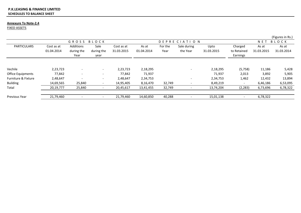### **SCHEDULES TO BALANCE SHEET P.K.LEASING & FINANCE LIMITED**

### **Annexure To Note‐2.4**

FIXED ASSETS

|                          |                          |                                 |                            |                          |                     |                 |                          |                    |                                    |                     | (Figures in Rs.)    |
|--------------------------|--------------------------|---------------------------------|----------------------------|--------------------------|---------------------|-----------------|--------------------------|--------------------|------------------------------------|---------------------|---------------------|
|                          |                          | GROSS                           | BLOCK                      |                          |                     |                 | DEPRECIATION             |                    |                                    | <b>NET</b>          | BLOCK               |
| <b>PARTICULARS</b>       | Cost as at<br>01.04.2014 | Additions<br>during the<br>Year | Sale<br>during the<br>year | Cost as at<br>31.03.2015 | As at<br>01.04.2014 | For the<br>Year | Sale during<br>the Year  | Upto<br>31.03.2015 | Charged<br>to Retained<br>Earnings | As at<br>31.03.2015 | As at<br>31.03.2014 |
| Vechile                  | 2,23,723                 |                                 |                            | 2,23,723                 | 2,18,295            |                 |                          | 2,18,295           | (5,758)                            | 11,186              | 5,428               |
| <b>Office Equipments</b> | 77,842                   | $\overline{\phantom{0}}$        | $\overline{\phantom{0}}$   | 77,842                   | 71,937              |                 |                          | 71,937             | 2,013                              | 3,892               | 5,905               |
| Furniture & Fixture      | 2,48,647                 |                                 | $\overline{\phantom{a}}$   | 2,48,647                 | 2,34,753            |                 | $\overline{\phantom{0}}$ | 2,34,753           | 1,462                              | 12,432              | 13,894              |
| <b>Building</b>          | 14,69,565                | 25,840                          |                            | 14,95,405                | 8,16,470            | 32,749          |                          | 8,49,219           | $\overline{\phantom{a}}$           | 6,46,186            | 6,53,095            |
| Total                    | 20,19,777                | 25,840                          |                            | 20,45,617                | 13,41,455           | 32,749          |                          | 13,74,204          | (2, 283)                           | 6,73,696            | 6,78,322            |
| <b>Previous Year</b>     | 21,79,460                |                                 |                            | 21,79,460                | 14,60,850           | 40,288          |                          | 15,01,138          | $\overline{\phantom{a}}$           | 6,78,322            |                     |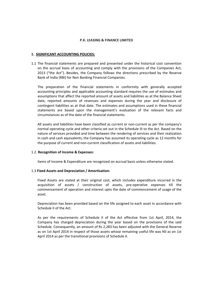### **P.K. LEASING & FINANCE LIMITED**

### **1. SIGNIFICANT ACCOUNTING POLICIES:**

1.1 The financial statements are prepared and presented under the historical cost convention on the accrual basis of accounting and comply with the provisions of the Companies Act, 2013 ("the Act"). Besides, the Company follows the directions prescribed by the Reserve Bank of India (RBI) for Non Banking Financial Companies.

The preparation of the financial statements in conformity with generally accepted accounting principles and applicable accounting standard requires the use of estimates and assumptions that affect the reported amount of assets and liabilities as at the Balance Sheet date, reported amounts of revenues and expenses during the year and disclosure of contingent liabilities as at that date. The estimates and assumptions used in these financial statements are based upon the management's evaluation of the relevant facts and circumstances as of the date of the financial statements.

All assets and liabilities have been classified as current or non-current as per the company's normal operating cycle and other criteria set out in the Schedule III to the Act. Based on the nature of services provided and time between the rendering of services and their realization in cash and cash equivalents, the Company has assumed its operating cycle as 12 months for the purpose of current and non‐current classification of assets and liabilities.

### 1.2. **Recognition of Income & Expenses:**

Items of Income & Expenditure are recognized on accrual basis unless otherwise stated.

### 1.3 **Fixed Assets and Depreciation / Amortisation:**

Fixed Assets are stated at their original cost, which includes expenditure incurred in the acquisition of assets / construction of assets, pre‐operative expenses till the commencement of operation and interest upto the date of commencement of usage of the asset.

Depreciation has been provided based on the life assigned to each asset in accordance with Schedule II of the Act.

As per the requirements of Schedule II of the Act effective from 1st April, 2014, the Company has charged depreciation during the year based on the provisions of the said Schedule. Consequently, an amount of Rs 2,283 has been adjusted with the General Reserve as on 1st April 2014 in respect of those assets whose remaining useful life was Nil as on 1st April 2014 as per the transitional provisions of Schedule II.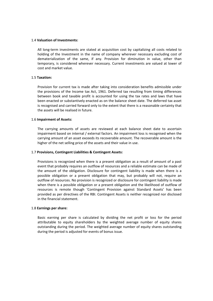### 1.4 **Valuation of Investments:**

All long‐term investments are stated at acquisition cost by capitalizing all costs related to holding of the Investment in the name of company wherever necessary excluding cost of dematerialization of the same, if any. Provision for diminution in value, other than temporary, is considered wherever necessary. Current investments are valued at lower of cost and market value.

### 1.5 **Taxation:**

Provision for current tax is made after taking into consideration benefits admissible under the provisions of the Income tax Act, 1961. Deferred tax resulting from timing differences between book and taxable profit is accounted for using the tax rates and laws that have been enacted or substantively enacted as on the balance sheet date. The deferred tax asset is recognised and carried forward only to the extent that there is a reasonable certainty that the assets will be realised in future.

### 1.6 **Impairment of Assets:**

The carrying amounts of assets are reviewed at each balance sheet date to ascertain impairment based on internal / external factors. An impairment loss is recognised when the carrying amount of an asset exceeds its recoverable amount. The recoverable amount is the higher of the net selling price of the assets and their value in use.

### 1.7 **Provisions, Contingent Liabilities & Contingent Assets:**

Provisions is recognized when there is a present obligation as a result of amount of a past event that probably requires an outflow of resources and a reliable estimate can be made of the amount of the obligation. Disclosure for contingent liability is made when there is a possible obligation or a present obligation that may, but probably will not, require an outflow of resources. No provision is recognized or disclosure for contingent liability is made when there is a possible obligation or a present obligation and the likelihood of outflow of resources is remote though 'Contingent Provision against Standard Assets' has been provided as per directives of the RBI. Contingent Assets is neither recognized nor disclosed in the financial statement.

### 1.8 **Earnings per share:**

Basic earning per share is calculated by dividing the net profit or loss for the period attributable to equity shareholders by the weighted average number of equity shares outstanding during the period. The weighted average number of equity shares outstanding during the period is adjusted for events of bonus issue.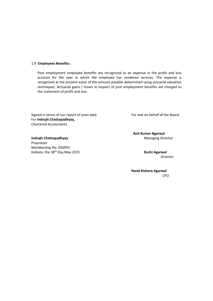### 1.9. **Employees Benefits:**

Post employment employee benefits are recognised as an expense in the profit and loss account for the year in which the employee has rendered services. The expense is recognised at the present value of the amount payable determined using actuarial valuation techniques. Actuarial gains / losses in respect of post employment benefits are charged to the statement of profit and loss.

Signed in terms of our report of even date **Signed in terms** of our report of even date For **Indrajit Chattopadhyay,** Chartered Accountants

**Indrajit Chattopadhyay** Managing Director Proprietor Membership No. 050955 Kolkata, the 30th Day May 2015 **Ruchi Agarwal**

**Anil Kumar Agarwal**

director in the control of the control of the control of the control of the control of the control of the control of the control of the control of the control of the control of the control of the control of the control of

 **Nand Kishore Agarwal CFO CFO**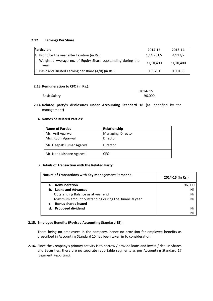### **2.12 Earnings Per Share**

|   | <b>Particulars</b>                                                  | 2014-15      | 2013-14   |
|---|---------------------------------------------------------------------|--------------|-----------|
|   | A Profit for the year after taxation (in Rs.)                       | $1,14,731/-$ | $4.917/-$ |
| B | Weighted Average no. of Equity Share outstanding during the<br>vear | 31,10,400    | 31,10,400 |
| C | Basic and Diluted Earning per share (A/B) (in Rs.)                  | 0.03701      | 0.00158   |

### **2.13.Remuneration to CFO (in Rs.):**

|                     | 2014-15 |
|---------------------|---------|
| <b>Basic Salary</b> | 96,000  |

**2.14.Related party's disclosures under Accounting Standard 18 (**as identified by the management**)**

### **A. Names of Related Parties:**

| <b>Name of Parties</b>   | Relationship      |
|--------------------------|-------------------|
| Mr. Anil Agarwal         | Managing Director |
| Mrs. Ruchi Agarwal       | Director          |
| Mr. Deepak Kumar Agarwal | Director          |
| Mr. Nand Kishore Agarwal | <b>CFO</b>        |

### **B**. **Details of Transaction with the Related Party:**

|    | <b>Nature of Transactions with Key Management Personnel</b> | 2014-15 (In Rs.) |
|----|-------------------------------------------------------------|------------------|
| а. | Remuneration                                                | 96,000           |
| b. | <b>Loans and Advances</b>                                   | Ni               |
|    | Outstanding Balance as at year end                          | Nil              |
|    | Maximum amount outstanding during the financial year        | Nil              |
|    | <b>Bonus shares issued</b>                                  |                  |
| d. | <b>Proposed dividend</b>                                    | Nil              |
|    |                                                             | Ni               |

### **2.15. Employee Benefits (Revised Accounting Standard 15):**

 There being no employees in the company, hence no provision for employee benefits as prescribed in Accounting Standard 15 has been taken in to consideration.

**2.16.** Since the Company's primary activity is to borrow / provide loans and invest / deal in Shares and Securities, there are no separate reportable segments as per Accounting Standard 17 (Segment Reporting).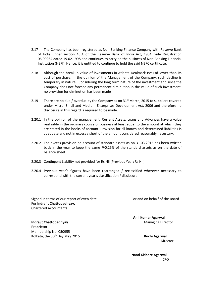- 2.17 The Company has been registered as Non Banking Finance Company with Reserve Bank of India under section 45IA of the Reserve Bank of India Act, 1934; vide Registration 05.00264 dated 19.02.1998 and continues to carry on the business of Non‐Banking Financial Institution (NBFI). Hence, it is entitled to continue to hold the said NBFC certificate.
- 2.18 Although the breakup value of investments in Atlanta Dealmark Pvt Ltd lower than its cost of purchase, in the opinion of the Management of the Company, such decline is temporary in nature. Considering the long term nature of the investment and since the Company does not foresee any permanent diminution in the value of such investment, no provision for diminution has been made
- 2.19 There are no due / overdue by the Company as on  $31<sup>st</sup>$  March, 2015 to suppliers covered under Micro, Small and Medium Enterprises Development Act, 2006 and therefore no disclosure in this regard is required to be made.
- 2.20.1 In the opinion of the management, Current Assets, Loans and Advances have a value realizable in the ordinary course of business at least equal to the amount at which they are stated in the books of account. Provision for all known and determined liabilities is adequate and not in excess / short of the amount considered reasonably necessary.
- 2.20.2 The excess provision on account of standard assets as on 31.03.2015 has been written back in the year to keep the same @0.25% of the standard assets as on the date of balance sheet
- 2.20.3 Contingent Liability not provided for Rs Nil (Previous Year: Rs Nil)
- 2.20.4 Previous year's figures have been rearranged / reclassified wherever necessary to correspond with the current year's classification / disclosure.

Signed in terms of our report of even date For and on behalf of the Board For **Indrajit Chattopadhyay,** Chartered Accountants

 **Anil Kumar Agarwal Indrajit Chattopadhyay** Managing Director

Proprietor Membership No. 050955 Kolkata, the 30th Day May 2015 **Ruchi Agarwal**

Director

 **Nand Kishore Agarwal CFO CFO**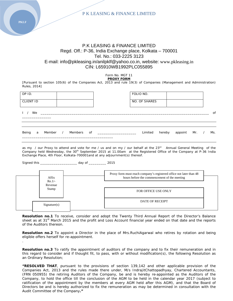

# P.K LEASING & FINANCE LIMITED Regd. Off.: P-36, India Exchange place, Kolkata – 700001 Tel. No.: 033‐2225 3123 E‐mail: info@pkleasing.in/anilpklf@yahoo.co.in, website: www.pkleasing.in CIN: L65910WB1992PLC055895

Form No. MGT 11 **PROXY FORM**

[Pursuant to section 105(6) of the Companies Act, 2013 and rule 19(3) of Companies (Management and Administration) Rules, 2014]

| DP ID.<br><b>CLIENT ID</b> |   |  |  |  | FOLIO NO.<br>NO. OF SHARES |        |               |  |     |
|----------------------------|---|--|--|--|----------------------------|--------|---------------|--|-----|
| We<br>$\mathbf{L}$         |   |  |  |  |                            |        |               |  | 0f  |
| Being                      | a |  |  |  | Limited                    | hereby | appoint Mr. / |  | Ms. |

as my / our Proxy to attend and vote for me / us and on my / our behalf at the  $23^{rd}$  Annual General Meeting of the Company held Wednesday, the 30<sup>th</sup> September 2015 at 11.00am at the Registered Office of the Company at P-36 India Exchange Place, 4th Floor, Kolkata-700001and at any adjournment(s) thereof.

Signed this \_\_\_\_\_\_\_\_\_\_\_\_\_\_\_\_\_\_\_ day of \_\_\_\_\_\_\_\_\_ 2015

| Affix<br>$Re.1/-$ | Proxy form must reach company's registered office not later than 48<br>hours before the commencement of the meeting |
|-------------------|---------------------------------------------------------------------------------------------------------------------|
| Revenue<br>Stamp  | <b>FOR OFFICE USE ONLY</b>                                                                                          |
| Sigma(x)          | <b>DATE OF RECEIPT</b>                                                                                              |

**Resolution no.1** To receive, consider and adopt the Twenty Third Annual Report of the Director's Balance sheet as at 31<sup>st</sup> March 2015 and the profit and Loss Account financial year ended on that date and the reports of the Auditors thereon.

**Resolution no.2** To appoint a Director in the place of Mrs.RuchiAgarwal who retires by rotation and being eligible offers herself for re-appointment.

**Resolution no.3** To ratify the appointment of auditors of the company and to fix their remuneration and in this regard to consider and if thought fit, to pass, with or without modification(s), the following Resolution as an Ordinary Resolution;

**"RESOLVED THAT**, pursuant to the provisions of section 139,142 and other applicable provision of the Companies Act, 2013 and the rules made there under, M/s IndrajitChattopadhyay, Chartered Accountants, (FRN 050955) the retiring Auditors of the Company, be and is hereby re‐appointed as the Auditors of the Company, to hold the office till the conclusion of the AGM to be held in the calendar year 2017 (subject to ratification of the appointment by the members at every AGM held after this AGM), and that the Board of Directors be and is hereby authorized to fix the remuneration as may be determined in consultation with the Audit Committee of the Company**."**

**PKLF** 

.